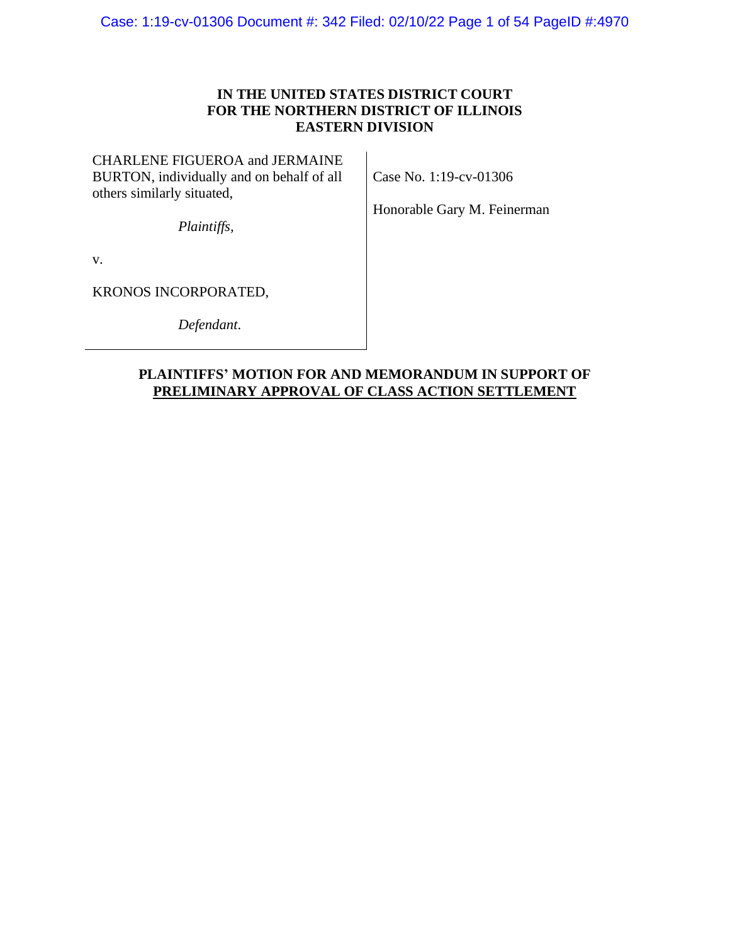## **IN THE UNITED STATES DISTRICT COURT FOR THE NORTHERN DISTRICT OF ILLINOIS EASTERN DIVISION**

CHARLENE FIGUEROA and JERMAINE BURTON, individually and on behalf of all others similarly situated,

Case No. 1:19-cv-01306

Honorable Gary M. Feinerman

*Plaintiffs,*

v.

KRONOS INCORPORATED,

*Defendant*.

## **PLAINTIFFS' MOTION FOR AND MEMORANDUM IN SUPPORT OF PRELIMINARY APPROVAL OF CLASS ACTION SETTLEMENT**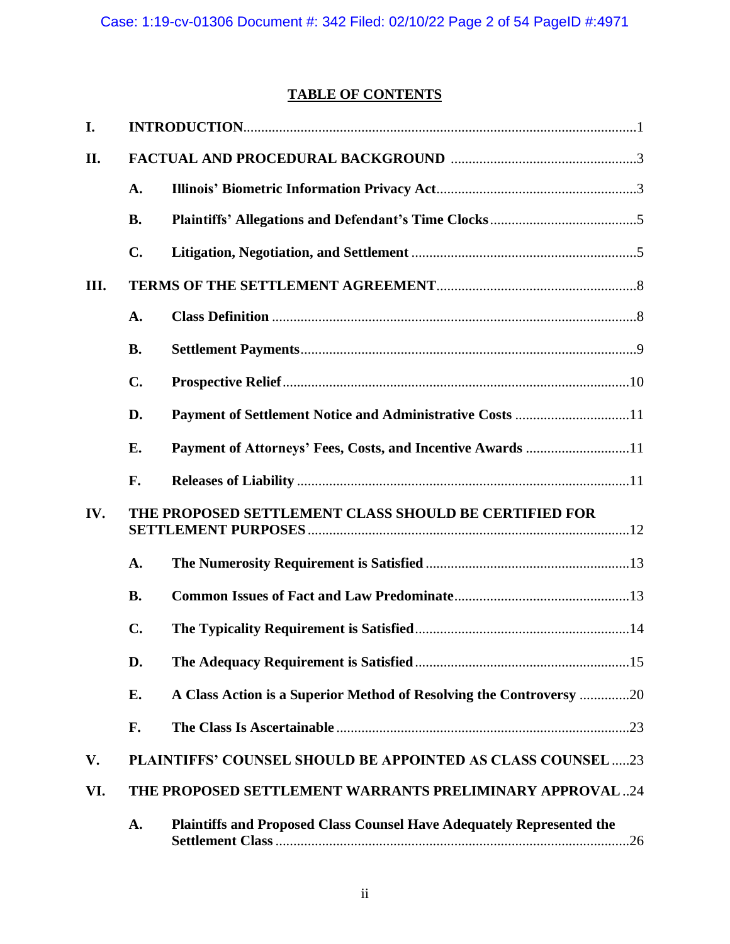## **TABLE OF CONTENTS**

| I.   |                                                       |                                                                              |  |
|------|-------------------------------------------------------|------------------------------------------------------------------------------|--|
| II.  |                                                       |                                                                              |  |
|      | A.                                                    |                                                                              |  |
|      | <b>B.</b>                                             |                                                                              |  |
|      | C.                                                    |                                                                              |  |
| III. |                                                       |                                                                              |  |
|      | A.                                                    |                                                                              |  |
|      | <b>B.</b>                                             |                                                                              |  |
|      | $C_{\bullet}$                                         |                                                                              |  |
|      | D.                                                    |                                                                              |  |
|      | E.                                                    |                                                                              |  |
|      | F.                                                    |                                                                              |  |
| IV.  | THE PROPOSED SETTLEMENT CLASS SHOULD BE CERTIFIED FOR |                                                                              |  |
|      | A.                                                    |                                                                              |  |
|      | <b>B.</b>                                             |                                                                              |  |
|      | $\mathbf{C}$ .                                        |                                                                              |  |
|      | D.                                                    |                                                                              |  |
|      | E.                                                    | A Class Action is a Superior Method of Resolving the Controversy 20          |  |
|      | F.                                                    |                                                                              |  |
| V.   |                                                       | PLAINTIFFS' COUNSEL SHOULD BE APPOINTED AS CLASS COUNSEL 23                  |  |
| VI.  |                                                       | THE PROPOSED SETTLEMENT WARRANTS PRELIMINARY APPROVAL24                      |  |
|      | A.                                                    | <b>Plaintiffs and Proposed Class Counsel Have Adequately Represented the</b> |  |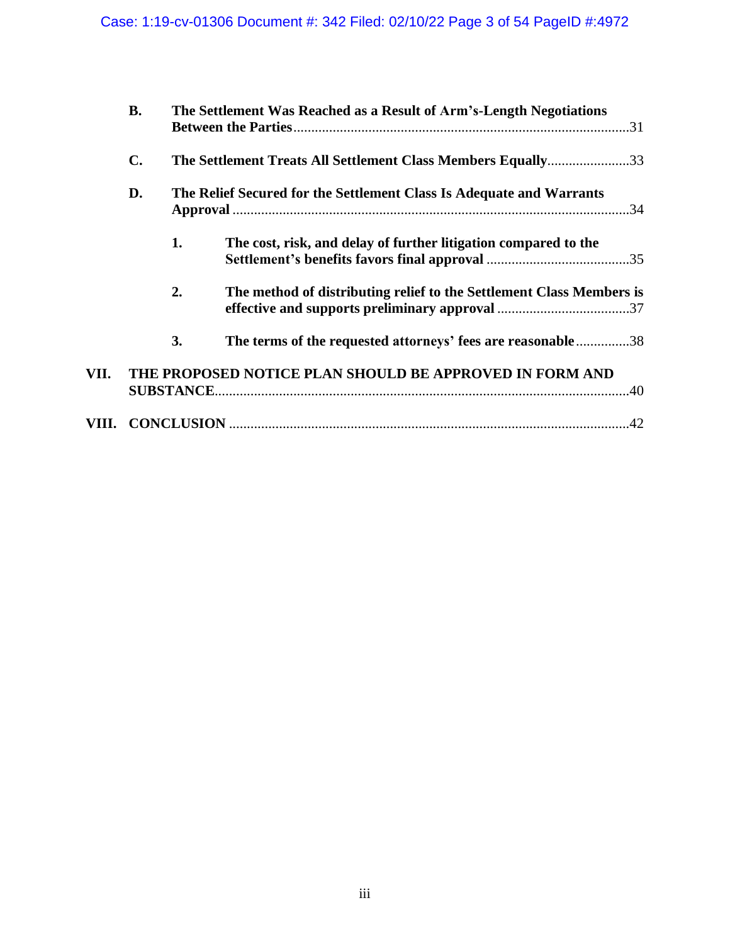|      | <b>B.</b> |                                                                      | The Settlement Was Reached as a Result of Arm's-Length Negotiations  |  |
|------|-----------|----------------------------------------------------------------------|----------------------------------------------------------------------|--|
|      | C.        | The Settlement Treats All Settlement Class Members Equally33         |                                                                      |  |
|      | D.        | The Relief Secured for the Settlement Class Is Adequate and Warrants |                                                                      |  |
|      |           | 1.                                                                   | The cost, risk, and delay of further litigation compared to the      |  |
|      |           | 2.                                                                   | The method of distributing relief to the Settlement Class Members is |  |
|      |           | 3.                                                                   | The terms of the requested attorneys' fees are reasonable38          |  |
| VII. |           |                                                                      | THE PROPOSED NOTICE PLAN SHOULD BE APPROVED IN FORM AND              |  |
|      |           |                                                                      |                                                                      |  |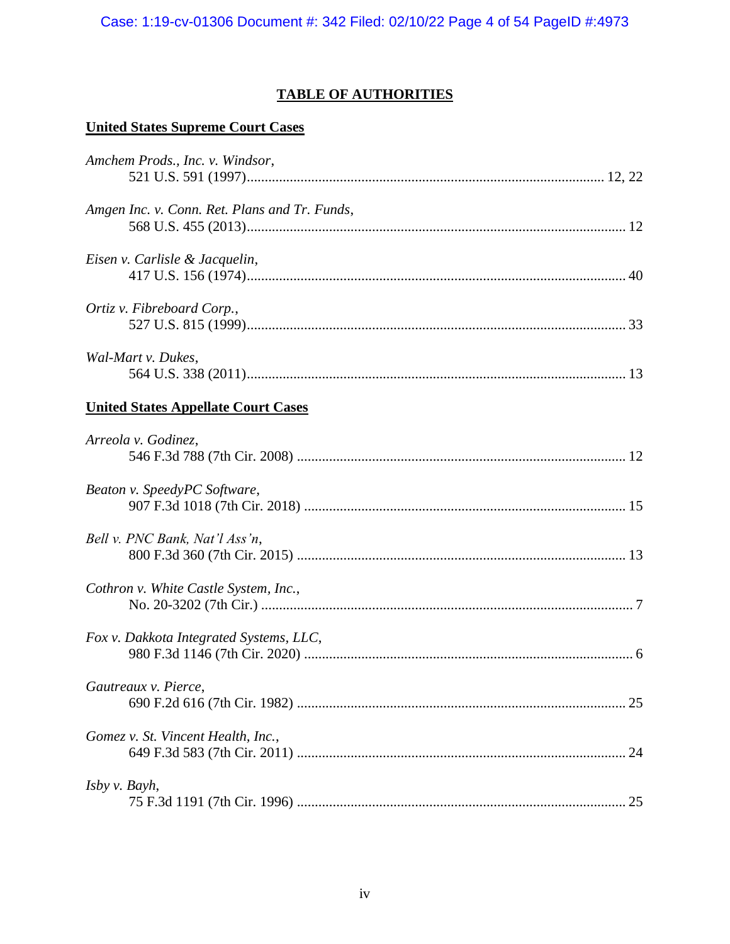## **TABLE OF AUTHORITIES**

## **United States Supreme Court Cases**

| Amchem Prods., Inc. v. Windsor,               |  |
|-----------------------------------------------|--|
|                                               |  |
| Amgen Inc. v. Conn. Ret. Plans and Tr. Funds, |  |
|                                               |  |
| Eisen v. Carlisle & Jacquelin,                |  |
|                                               |  |
| Ortiz v. Fibreboard Corp.,                    |  |
|                                               |  |
| Wal-Mart v. Dukes,                            |  |
|                                               |  |
| <b>United States Appellate Court Cases</b>    |  |
| Arreola v. Godinez,                           |  |
|                                               |  |
| Beaton v. SpeedyPC Software,                  |  |
|                                               |  |
| Bell v. PNC Bank, Nat'l Ass'n,                |  |
|                                               |  |
| Cothron v. White Castle System, Inc.,         |  |
|                                               |  |
| Fox v. Dakkota Integrated Systems, LLC,       |  |
|                                               |  |
| Gautreaux v. Pierce,                          |  |
|                                               |  |
| Gomez v. St. Vincent Health, Inc.,            |  |
|                                               |  |
| Isby v. Bayh,                                 |  |
|                                               |  |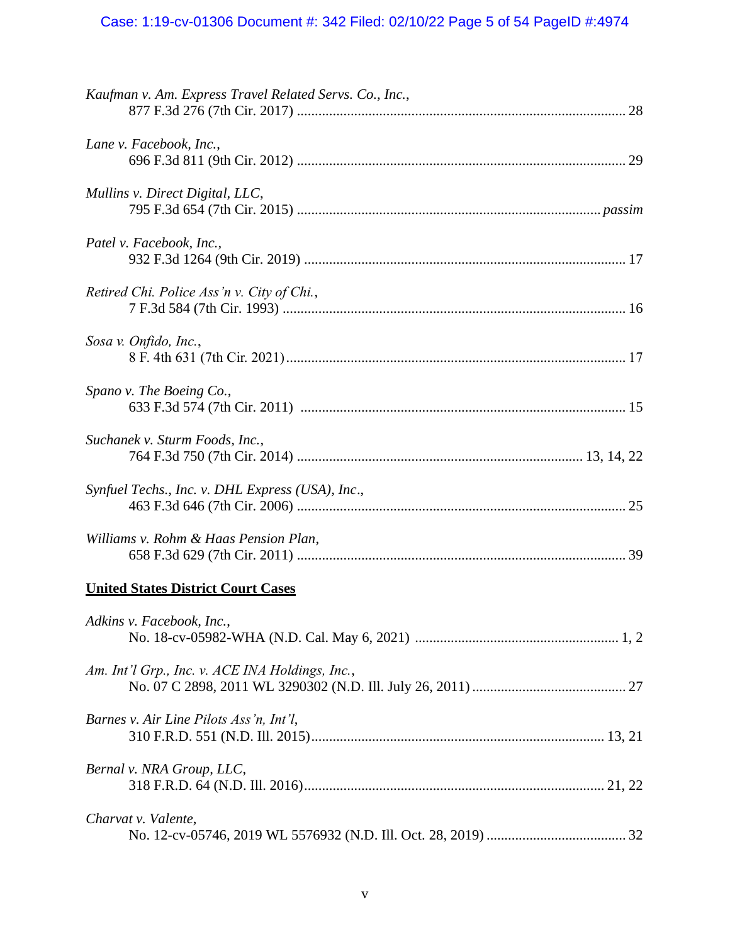# Case: 1:19-cv-01306 Document #: 342 Filed: 02/10/22 Page 5 of 54 PageID #:4974

| Kaufman v. Am. Express Travel Related Servs. Co., Inc., |
|---------------------------------------------------------|
| Lane v. Facebook, Inc.,                                 |
| Mullins v. Direct Digital, LLC,                         |
| Patel v. Facebook, Inc.,                                |
| Retired Chi. Police Ass'n v. City of Chi.,              |
| Sosa v. Onfido, Inc.,                                   |
| Spano v. The Boeing Co.,                                |
| Suchanek v. Sturm Foods, Inc.,                          |
| Synfuel Techs., Inc. v. DHL Express (USA), Inc.,        |
| Williams v. Rohm & Haas Pension Plan,                   |
| <b>United States District Court Cases</b>               |
| Adkins v. Facebook, Inc.,                               |
| Am. Int'l Grp., Inc. v. ACE INA Holdings, Inc.,         |
| Barnes v. Air Line Pilots Ass'n, Int'l,                 |
| Bernal v. NRA Group, LLC,                               |
| Charvat v. Valente,                                     |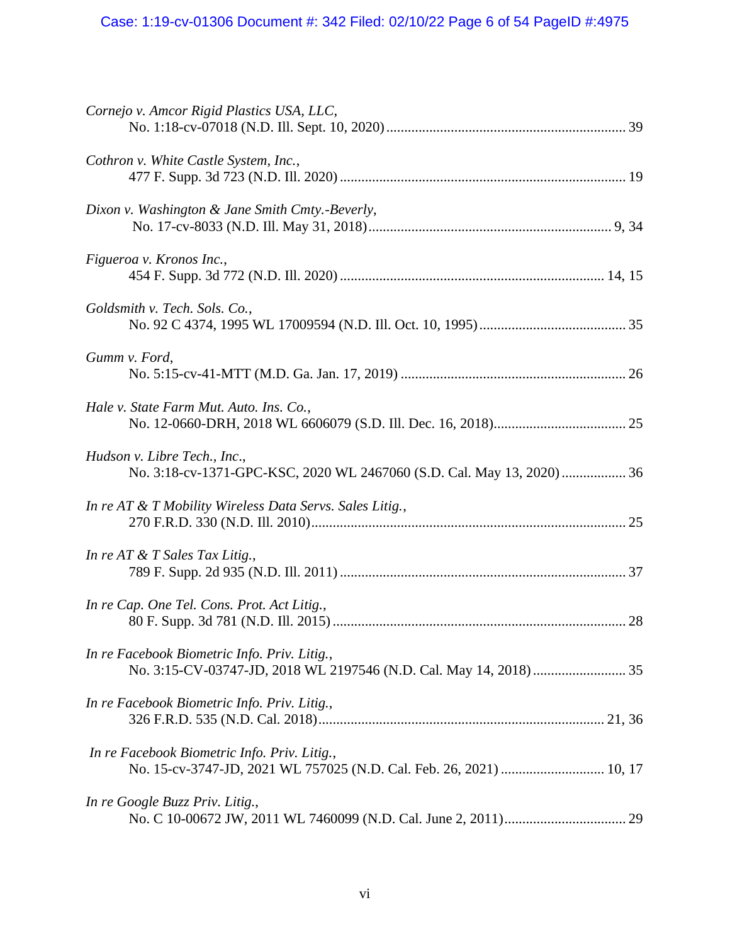| Cornejo v. Amcor Rigid Plastics USA, LLC,                                                              |
|--------------------------------------------------------------------------------------------------------|
| Cothron v. White Castle System, Inc.,                                                                  |
| Dixon v. Washington & Jane Smith Cmty.-Beverly,                                                        |
| Figueroa v. Kronos Inc.,                                                                               |
| Goldsmith v. Tech. Sols. Co.,                                                                          |
| Gumm v. Ford,                                                                                          |
| Hale v. State Farm Mut. Auto. Ins. Co.,                                                                |
| Hudson v. Libre Tech., Inc.,<br>No. 3:18-cv-1371-GPC-KSC, 2020 WL 2467060 (S.D. Cal. May 13, 2020)  36 |
| In re AT & T Mobility Wireless Data Servs. Sales Litig.,                                               |
| In re AT $&$ T Sales Tax Litig.,                                                                       |
| In re Cap. One Tel. Cons. Prot. Act Litig.,                                                            |
| In re Facebook Biometric Info. Priv. Litig.,                                                           |
| In re Facebook Biometric Info. Priv. Litig.,                                                           |
| In re Facebook Biometric Info. Priv. Litig.,                                                           |
| In re Google Buzz Priv. Litig.,                                                                        |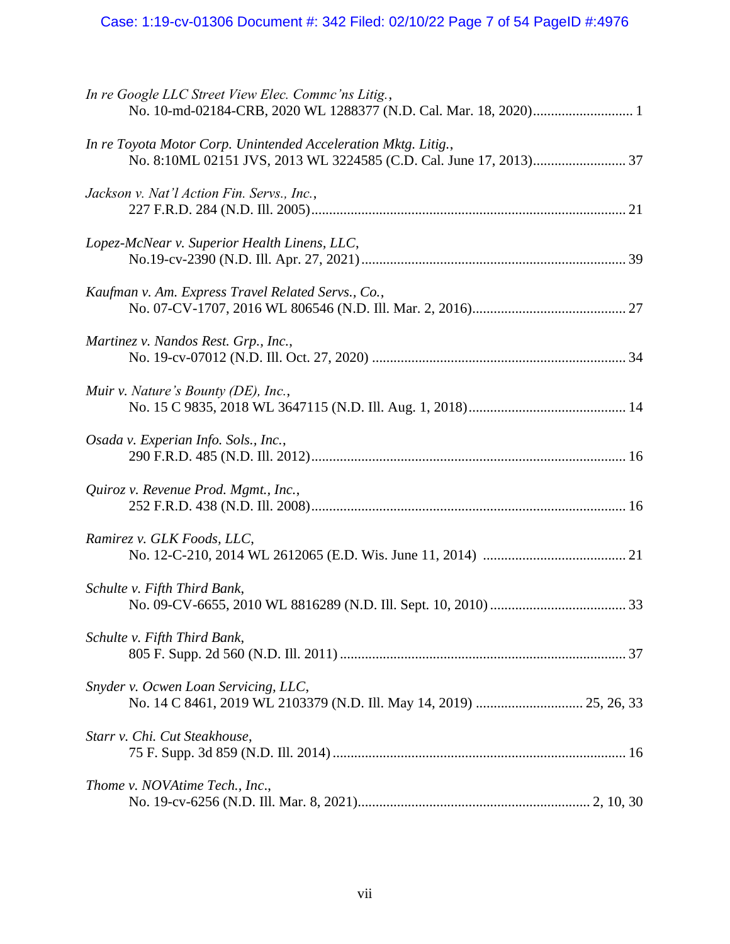# Case: 1:19-cv-01306 Document #: 342 Filed: 02/10/22 Page 7 of 54 PageID #:4976

| In re Google LLC Street View Elec. Commc'ns Litig.,                                                         |
|-------------------------------------------------------------------------------------------------------------|
| In re Toyota Motor Corp. Unintended Acceleration Mktg. Litig.,                                              |
| Jackson v. Nat'l Action Fin. Servs., Inc.,                                                                  |
| Lopez-McNear v. Superior Health Linens, LLC,                                                                |
| Kaufman v. Am. Express Travel Related Servs., Co.,                                                          |
| Martinez v. Nandos Rest. Grp., Inc.,                                                                        |
| Muir v. Nature's Bounty (DE), Inc.,                                                                         |
| Osada v. Experian Info. Sols., Inc.,                                                                        |
| Quiroz v. Revenue Prod. Mgmt., Inc.,                                                                        |
| Ramirez v. GLK Foods, LLC,                                                                                  |
| Schulte v. Fifth Third Bank,                                                                                |
| Schulte v. Fifth Third Bank,                                                                                |
| Snyder v. Ocwen Loan Servicing, LLC,<br>No. 14 C 8461, 2019 WL 2103379 (N.D. Ill. May 14, 2019)  25, 26, 33 |
| Starr v. Chi. Cut Steakhouse,                                                                               |
| Thome v. NOVAtime Tech., Inc.,                                                                              |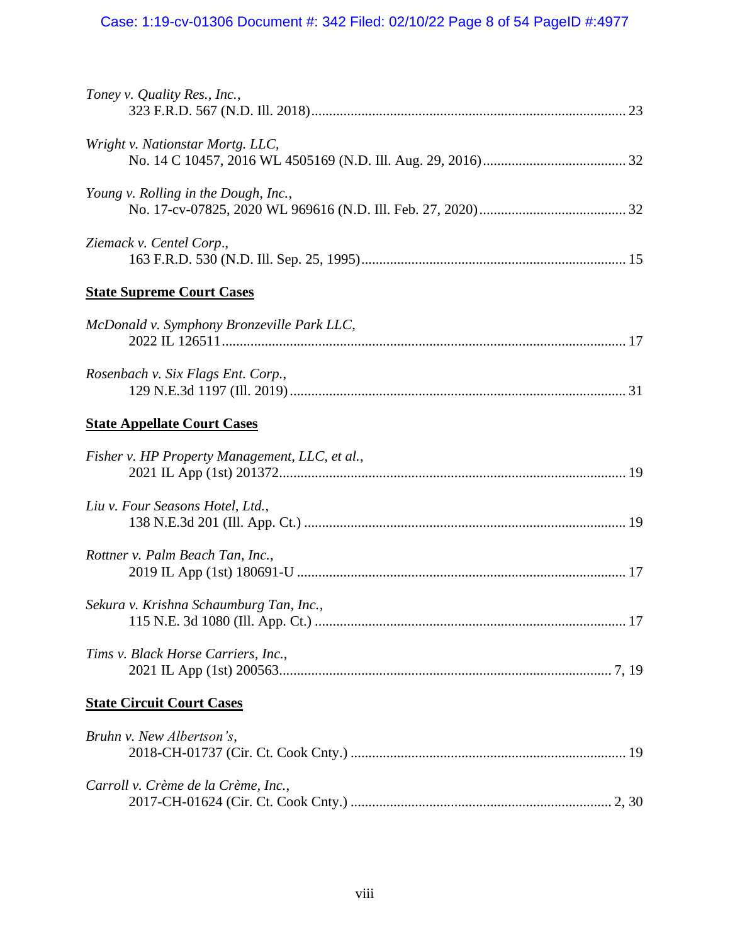# Case: 1:19-cv-01306 Document #: 342 Filed: 02/10/22 Page 8 of 54 PageID #:4977

| Toney v. Quality Res., Inc.,                   |
|------------------------------------------------|
| Wright v. Nationstar Mortg. LLC,               |
| Young v. Rolling in the Dough, Inc.,           |
| Ziemack v. Centel Corp.,                       |
| <b>State Supreme Court Cases</b>               |
| McDonald v. Symphony Bronzeville Park LLC,     |
| Rosenbach v. Six Flags Ent. Corp.,             |
| <b>State Appellate Court Cases</b>             |
| Fisher v. HP Property Management, LLC, et al., |
| Liu v. Four Seasons Hotel, Ltd.,               |
| Rottner v. Palm Beach Tan, Inc.,               |
| Sekura v. Krishna Schaumburg Tan, Inc.,        |
| Tims v. Black Horse Carriers, Inc.,            |
| <b>State Circuit Court Cases</b>               |
| Bruhn v. New Albertson's,                      |
| Carroll v. Crème de la Crème, Inc.,            |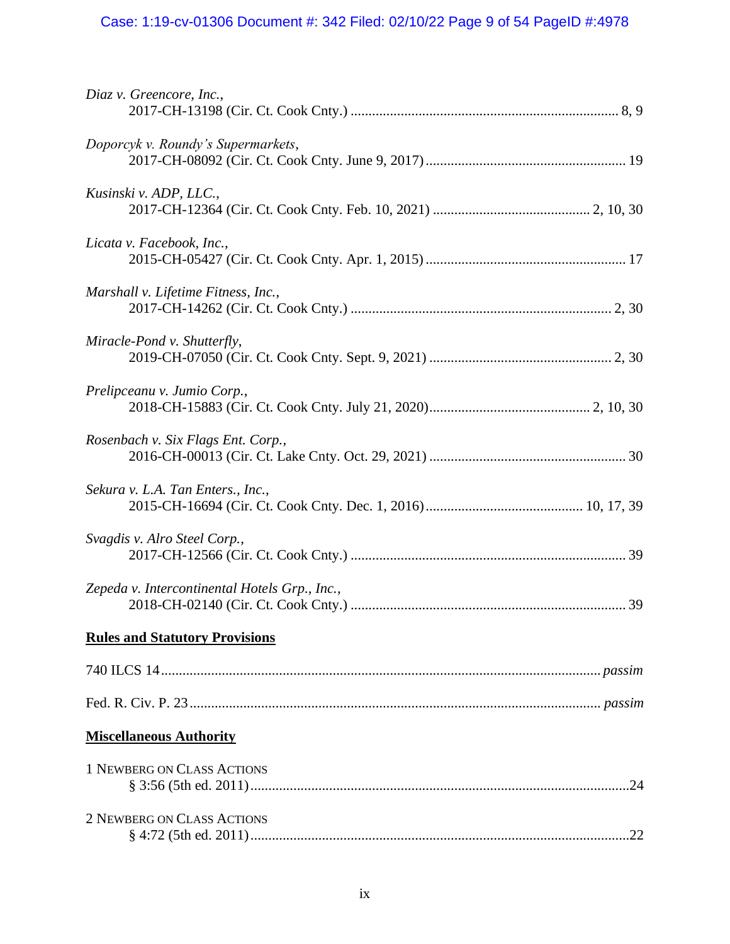# Case: 1:19-cv-01306 Document #: 342 Filed: 02/10/22 Page 9 of 54 PageID #:4978

| Diaz v. Greencore, Inc.,                      |  |
|-----------------------------------------------|--|
| Doporcyk v. Roundy's Supermarkets,            |  |
| Kusinski v. ADP, LLC.,                        |  |
| Licata v. Facebook, Inc.,                     |  |
| Marshall v. Lifetime Fitness, Inc.,           |  |
| Miracle-Pond v. Shutterfly,                   |  |
| Prelipceanu v. Jumio Corp.,                   |  |
| Rosenbach v. Six Flags Ent. Corp.,            |  |
| Sekura v. L.A. Tan Enters., Inc.,             |  |
| Svagdis v. Alro Steel Corp.,                  |  |
| Zepeda v. Intercontinental Hotels Grp., Inc., |  |
| <b>Rules and Statutory Provisions</b>         |  |
|                                               |  |
|                                               |  |
| <b>Miscellaneous Authority</b>                |  |
| 1 NEWBERG ON CLASS ACTIONS                    |  |
| 2 NEWBERG ON CLASS ACTIONS                    |  |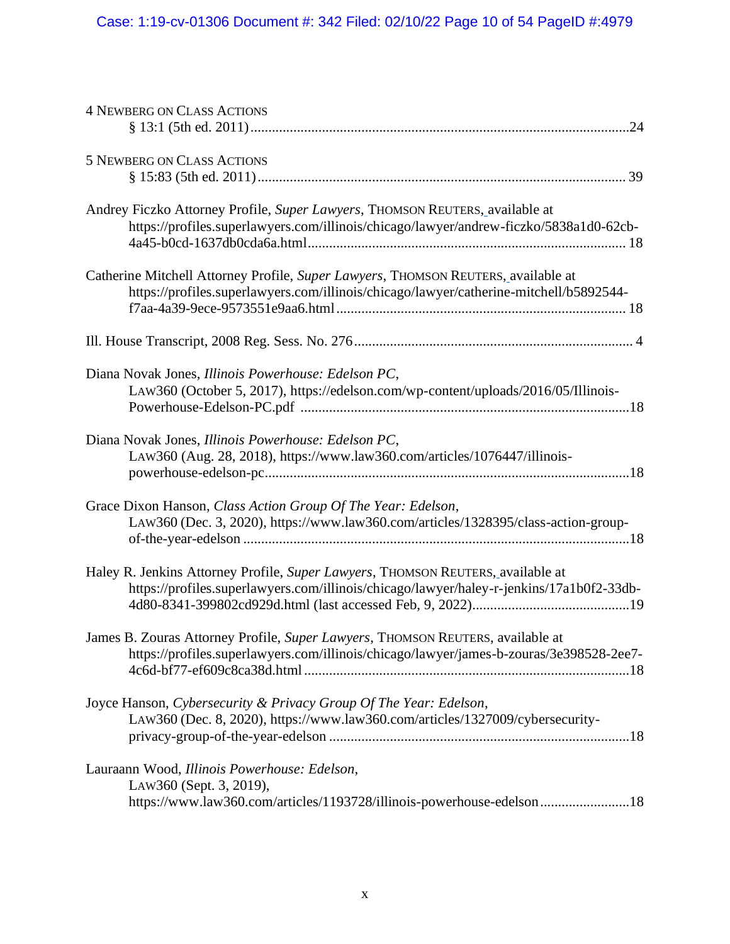| <b>4 NEWBERG ON CLASS ACTIONS</b>                                                                                                                                           |
|-----------------------------------------------------------------------------------------------------------------------------------------------------------------------------|
| <b>5 NEWBERG ON CLASS ACTIONS</b>                                                                                                                                           |
| Andrey Ficzko Attorney Profile, Super Lawyers, THOMSON REUTERS, available at<br>https://profiles.superlawyers.com/illinois/chicago/lawyer/andrew-ficzko/5838a1d0-62cb-      |
| Catherine Mitchell Attorney Profile, Super Lawyers, THOMSON REUTERS, available at<br>https://profiles.superlawyers.com/illinois/chicago/lawyer/catherine-mitchell/b5892544- |
|                                                                                                                                                                             |
| Diana Novak Jones, Illinois Powerhouse: Edelson PC,<br>LAW360 (October 5, 2017), https://edelson.com/wp-content/uploads/2016/05/Illinois-                                   |
| Diana Novak Jones, Illinois Powerhouse: Edelson PC,<br>LAW360 (Aug. 28, 2018), https://www.law360.com/articles/1076447/illinois-                                            |
| Grace Dixon Hanson, Class Action Group Of The Year: Edelson,<br>LAW360 (Dec. 3, 2020), https://www.law360.com/articles/1328395/class-action-group-                          |
| Haley R. Jenkins Attorney Profile, Super Lawyers, THOMSON REUTERS, available at<br>https://profiles.superlawyers.com/illinois/chicago/lawyer/haley-r-jenkins/17a1b0f2-33db- |
| James B. Zouras Attorney Profile, Super Lawyers, THOMSON REUTERS, available at<br>https://profiles.superlawyers.com/illinois/chicago/lawyer/james-b-zouras/3e398528-2ee7-   |
| Joyce Hanson, Cybersecurity & Privacy Group Of The Year: Edelson,<br>LAW360 (Dec. 8, 2020), https://www.law360.com/articles/1327009/cybersecurity-                          |
| Lauraann Wood, Illinois Powerhouse: Edelson,<br>LAW360 (Sept. 3, 2019),<br>https://www.law360.com/articles/1193728/illinois-powerhouse-edelson18                            |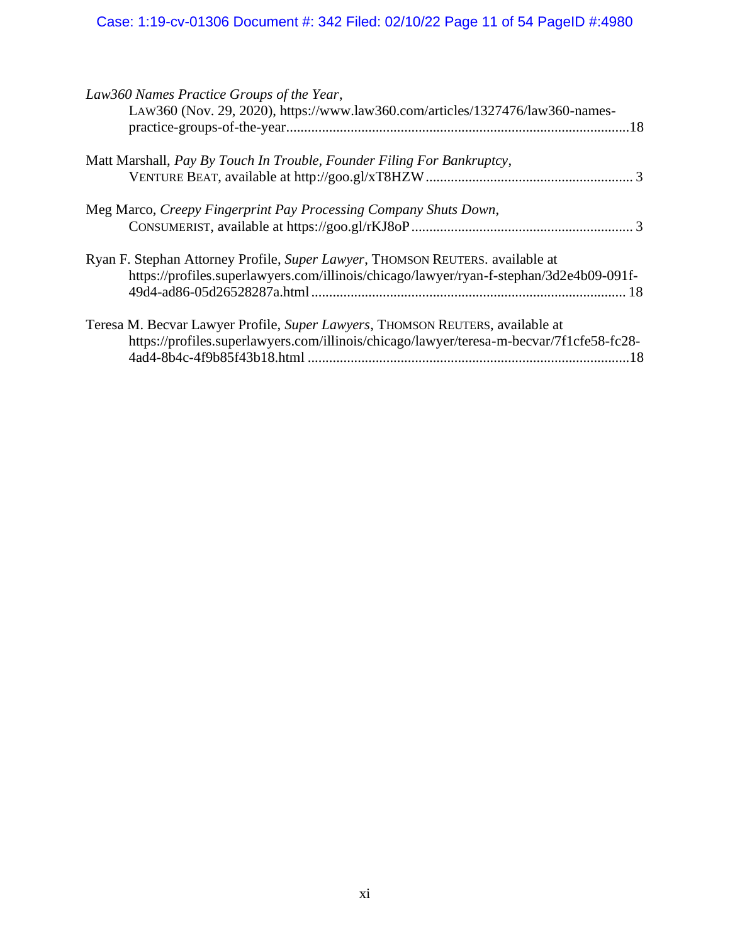# Case: 1:19-cv-01306 Document #: 342 Filed: 02/10/22 Page 11 of 54 PageID #:4980

| Law360 Names Practice Groups of the Year,<br>LAW360 (Nov. 29, 2020), https://www.law360.com/articles/1327476/law360-names-                                                |     |
|---------------------------------------------------------------------------------------------------------------------------------------------------------------------------|-----|
| Matt Marshall, Pay By Touch In Trouble, Founder Filing For Bankruptcy,                                                                                                    |     |
| Meg Marco, Creepy Fingerprint Pay Processing Company Shuts Down,                                                                                                          |     |
| Ryan F. Stephan Attorney Profile, Super Lawyer, THOMSON REUTERS. available at<br>https://profiles.superlawyers.com/illinois/chicago/lawyer/ryan-f-stephan/3d2e4b09-091f-  |     |
| Teresa M. Becvar Lawyer Profile, Super Lawyers, THOMSON REUTERS, available at<br>https://profiles.superlawyers.com/illinois/chicago/lawyer/teresa-m-becvar/7f1cfe58-fc28- | .18 |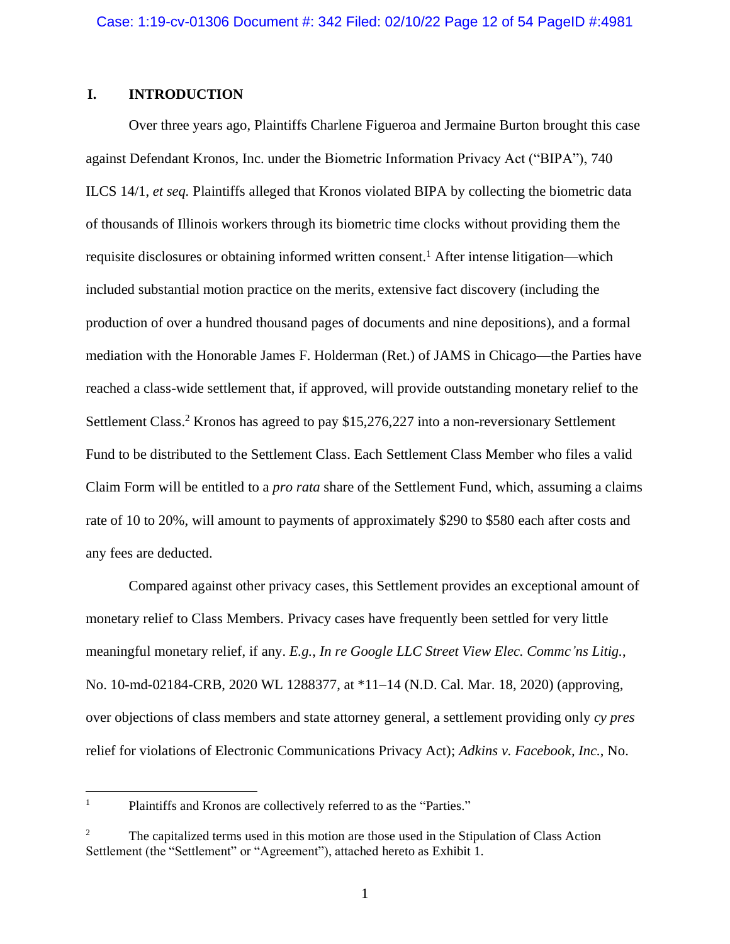## **I. INTRODUCTION**

Over three years ago, Plaintiffs Charlene Figueroa and Jermaine Burton brought this case against Defendant Kronos, Inc. under the Biometric Information Privacy Act ("BIPA"), 740 ILCS 14/1, *et seq.* Plaintiffs alleged that Kronos violated BIPA by collecting the biometric data of thousands of Illinois workers through its biometric time clocks without providing them the requisite disclosures or obtaining informed written consent.<sup>1</sup> After intense litigation—which included substantial motion practice on the merits, extensive fact discovery (including the production of over a hundred thousand pages of documents and nine depositions), and a formal mediation with the Honorable James F. Holderman (Ret.) of JAMS in Chicago—the Parties have reached a class-wide settlement that, if approved, will provide outstanding monetary relief to the Settlement Class.<sup>2</sup> Kronos has agreed to pay \$15,276,227 into a non-reversionary Settlement Fund to be distributed to the Settlement Class. Each Settlement Class Member who files a valid Claim Form will be entitled to a *pro rata* share of the Settlement Fund, which, assuming a claims rate of 10 to 20%, will amount to payments of approximately \$290 to \$580 each after costs and any fees are deducted.

Compared against other privacy cases, this Settlement provides an exceptional amount of monetary relief to Class Members. Privacy cases have frequently been settled for very little meaningful monetary relief, if any. *E.g.*, *In re Google LLC Street View Elec. Commc'ns Litig.*, No. 10-md-02184-CRB, 2020 WL 1288377, at \*11–14 (N.D. Cal. Mar. 18, 2020) (approving, over objections of class members and state attorney general, a settlement providing only *cy pres*  relief for violations of Electronic Communications Privacy Act); *Adkins v. Facebook, Inc.*, No.

<sup>&</sup>lt;sup>1</sup> Plaintiffs and Kronos are collectively referred to as the "Parties."

<sup>&</sup>lt;sup>2</sup> The capitalized terms used in this motion are those used in the Stipulation of Class Action Settlement (the "Settlement" or "Agreement"), attached hereto as Exhibit 1.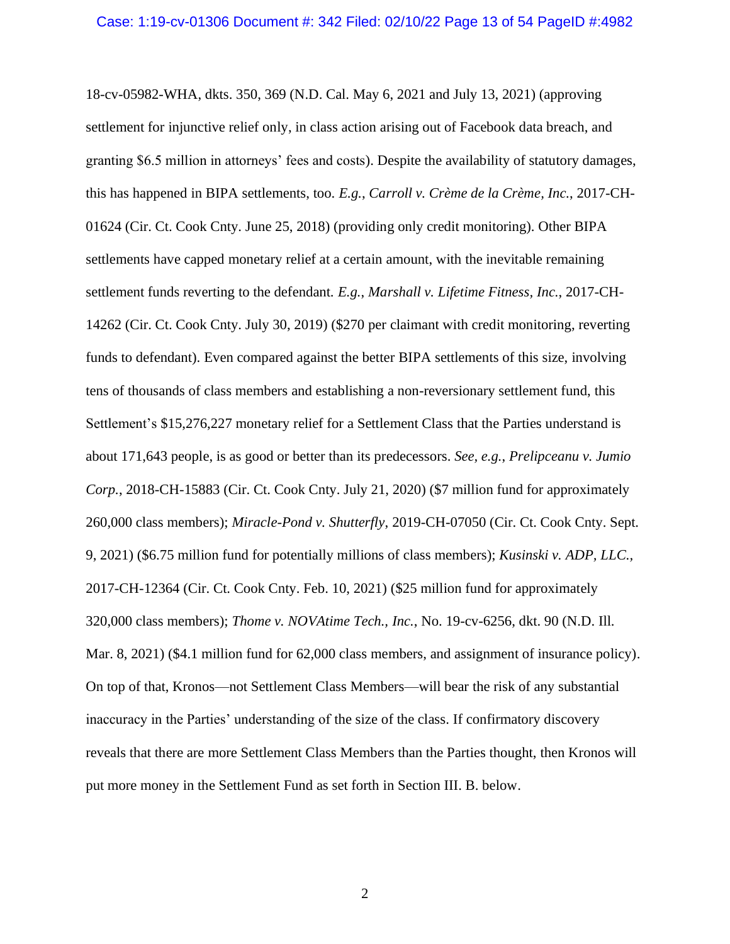18-cv-05982-WHA, dkts. 350, 369 (N.D. Cal. May 6, 2021 and July 13, 2021) (approving settlement for injunctive relief only, in class action arising out of Facebook data breach, and granting \$6.5 million in attorneys' fees and costs). Despite the availability of statutory damages, this has happened in BIPA settlements, too. *E.g.*, *Carroll v. Crème de la Crème, Inc.*, 2017-CH-01624 (Cir. Ct. Cook Cnty. June 25, 2018) (providing only credit monitoring). Other BIPA settlements have capped monetary relief at a certain amount, with the inevitable remaining settlement funds reverting to the defendant. *E.g.*, *Marshall v. Lifetime Fitness, Inc.*, 2017-CH-14262 (Cir. Ct. Cook Cnty. July 30, 2019) (\$270 per claimant with credit monitoring, reverting funds to defendant). Even compared against the better BIPA settlements of this size, involving tens of thousands of class members and establishing a non-reversionary settlement fund, this Settlement's \$15,276,227 monetary relief for a Settlement Class that the Parties understand is about 171,643 people, is as good or better than its predecessors. *See, e.g.*, *Prelipceanu v. Jumio Corp.*, 2018-CH-15883 (Cir. Ct. Cook Cnty. July 21, 2020) (\$7 million fund for approximately 260,000 class members); *Miracle-Pond v. Shutterfly*, 2019-CH-07050 (Cir. Ct. Cook Cnty. Sept. 9, 2021) (\$6.75 million fund for potentially millions of class members); *Kusinski v. ADP, LLC.,*  2017-CH-12364 (Cir. Ct. Cook Cnty. Feb. 10, 2021) (\$25 million fund for approximately 320,000 class members); *Thome v. NOVAtime Tech., Inc.*, No. 19-cv-6256, dkt. 90 (N.D. Ill. Mar. 8, 2021) (\$4.1 million fund for 62,000 class members, and assignment of insurance policy). On top of that, Kronos—not Settlement Class Members—will bear the risk of any substantial inaccuracy in the Parties' understanding of the size of the class. If confirmatory discovery reveals that there are more Settlement Class Members than the Parties thought, then Kronos will put more money in the Settlement Fund as set forth in Section III. B. below.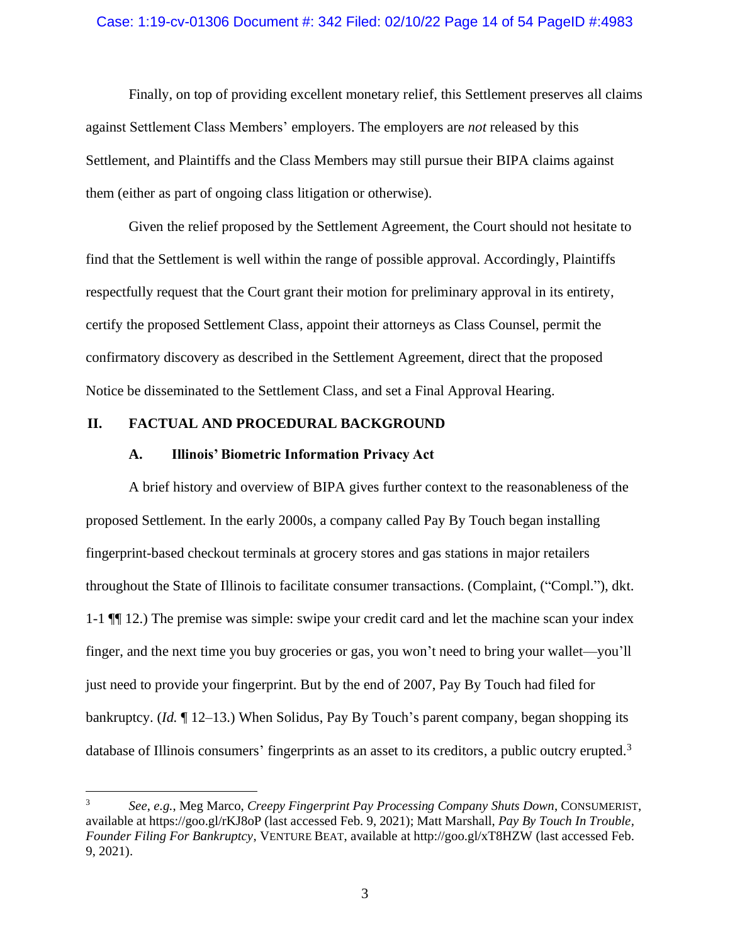## Case: 1:19-cv-01306 Document #: 342 Filed: 02/10/22 Page 14 of 54 PageID #:4983

Finally, on top of providing excellent monetary relief, this Settlement preserves all claims against Settlement Class Members' employers. The employers are *not* released by this Settlement, and Plaintiffs and the Class Members may still pursue their BIPA claims against them (either as part of ongoing class litigation or otherwise).

Given the relief proposed by the Settlement Agreement, the Court should not hesitate to find that the Settlement is well within the range of possible approval. Accordingly, Plaintiffs respectfully request that the Court grant their motion for preliminary approval in its entirety, certify the proposed Settlement Class, appoint their attorneys as Class Counsel, permit the confirmatory discovery as described in the Settlement Agreement, direct that the proposed Notice be disseminated to the Settlement Class, and set a Final Approval Hearing.

## **II. FACTUAL AND PROCEDURAL BACKGROUND**

## **A. Illinois' Biometric Information Privacy Act**

A brief history and overview of BIPA gives further context to the reasonableness of the proposed Settlement. In the early 2000s, a company called Pay By Touch began installing fingerprint-based checkout terminals at grocery stores and gas stations in major retailers throughout the State of Illinois to facilitate consumer transactions. (Complaint, ("Compl."), dkt. 1-1 ¶¶ 12.) The premise was simple: swipe your credit card and let the machine scan your index finger, and the next time you buy groceries or gas, you won't need to bring your wallet—you'll just need to provide your fingerprint. But by the end of 2007, Pay By Touch had filed for bankruptcy. (*Id.* ¶ 12–13.) When Solidus, Pay By Touch's parent company, began shopping its database of Illinois consumers' fingerprints as an asset to its creditors, a public outcry erupted.<sup>3</sup>

<sup>3</sup> *See*, *e.g.*, Meg Marco, *Creepy Fingerprint Pay Processing Company Shuts Down*, CONSUMERIST, available at https://goo.gl/rKJ8oP (last accessed Feb. 9, 2021); Matt Marshall, *Pay By Touch In Trouble, Founder Filing For Bankruptcy*, VENTURE BEAT, available at http://goo.gl/xT8HZW (last accessed Feb. 9, 2021).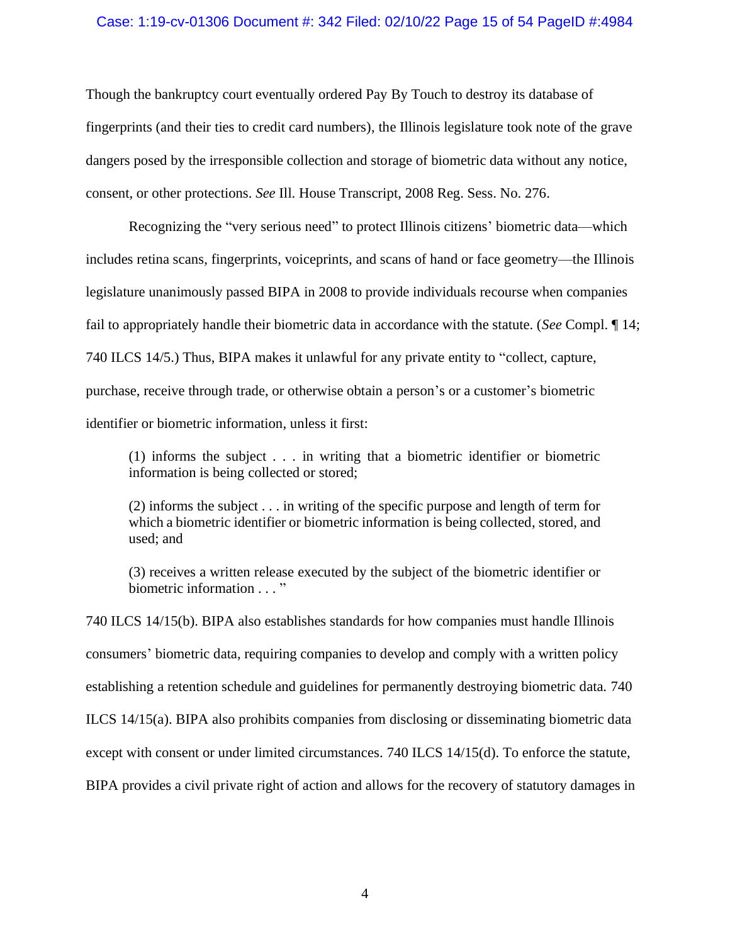## Case: 1:19-cv-01306 Document #: 342 Filed: 02/10/22 Page 15 of 54 PageID #:4984

Though the bankruptcy court eventually ordered Pay By Touch to destroy its database of fingerprints (and their ties to credit card numbers), the Illinois legislature took note of the grave dangers posed by the irresponsible collection and storage of biometric data without any notice, consent, or other protections. *See* Ill. House Transcript, 2008 Reg. Sess. No. 276.

Recognizing the "very serious need" to protect Illinois citizens' biometric data—which includes retina scans, fingerprints, voiceprints, and scans of hand or face geometry—the Illinois legislature unanimously passed BIPA in 2008 to provide individuals recourse when companies fail to appropriately handle their biometric data in accordance with the statute. (*See* Compl. ¶ 14; 740 ILCS 14/5.) Thus, BIPA makes it unlawful for any private entity to "collect, capture, purchase, receive through trade, or otherwise obtain a person's or a customer's biometric identifier or biometric information, unless it first:

(1) informs the subject . . . in writing that a biometric identifier or biometric information is being collected or stored;

(2) informs the subject . . . in writing of the specific purpose and length of term for which a biometric identifier or biometric information is being collected, stored, and used; and

(3) receives a written release executed by the subject of the biometric identifier or biometric information . . . "

740 ILCS 14/15(b). BIPA also establishes standards for how companies must handle Illinois consumers' biometric data, requiring companies to develop and comply with a written policy establishing a retention schedule and guidelines for permanently destroying biometric data. 740 ILCS 14/15(a). BIPA also prohibits companies from disclosing or disseminating biometric data except with consent or under limited circumstances. 740 ILCS 14/15(d). To enforce the statute, BIPA provides a civil private right of action and allows for the recovery of statutory damages in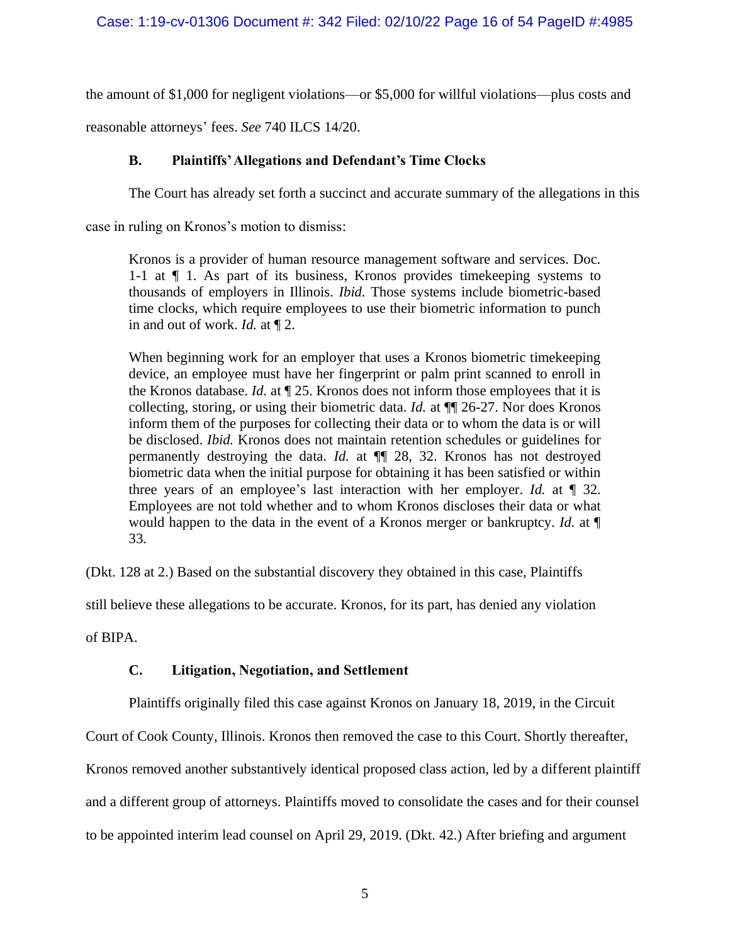the amount of \$1,000 for negligent violations—or \$5,000 for willful violations—plus costs and

reasonable attorneys' fees. *See* 740 ILCS 14/20.

## **B. Plaintiffs'Allegations and Defendant's Time Clocks**

The Court has already set forth a succinct and accurate summary of the allegations in this

case in ruling on Kronos's motion to dismiss:

Kronos is a provider of human resource management software and services. Doc. 1-1 at ¶ 1. As part of its business, Kronos provides timekeeping systems to thousands of employers in Illinois. *Ibid.* Those systems include biometric-based time clocks, which require employees to use their biometric information to punch in and out of work. *Id.* at ¶ 2.

When beginning work for an employer that uses a Kronos biometric timekeeping device, an employee must have her fingerprint or palm print scanned to enroll in the Kronos database. *Id.* at ¶ 25. Kronos does not inform those employees that it is collecting, storing, or using their biometric data. *Id.* at ¶¶ 26-27. Nor does Kronos inform them of the purposes for collecting their data or to whom the data is or will be disclosed. *Ibid.* Kronos does not maintain retention schedules or guidelines for permanently destroying the data. *Id.* at ¶¶ 28, 32. Kronos has not destroyed biometric data when the initial purpose for obtaining it has been satisfied or within three years of an employee's last interaction with her employer. *Id.* at ¶ 32. Employees are not told whether and to whom Kronos discloses their data or what would happen to the data in the event of a Kronos merger or bankruptcy. *Id.* at ¶ 33.

(Dkt. 128 at 2.) Based on the substantial discovery they obtained in this case, Plaintiffs

still believe these allegations to be accurate. Kronos, for its part, has denied any violation

of BIPA.

## **C. Litigation, Negotiation, and Settlement**

Plaintiffs originally filed this case against Kronos on January 18, 2019, in the Circuit

Court of Cook County, Illinois. Kronos then removed the case to this Court. Shortly thereafter,

Kronos removed another substantively identical proposed class action, led by a different plaintiff

and a different group of attorneys. Plaintiffs moved to consolidate the cases and for their counsel

to be appointed interim lead counsel on April 29, 2019. (Dkt. 42.) After briefing and argument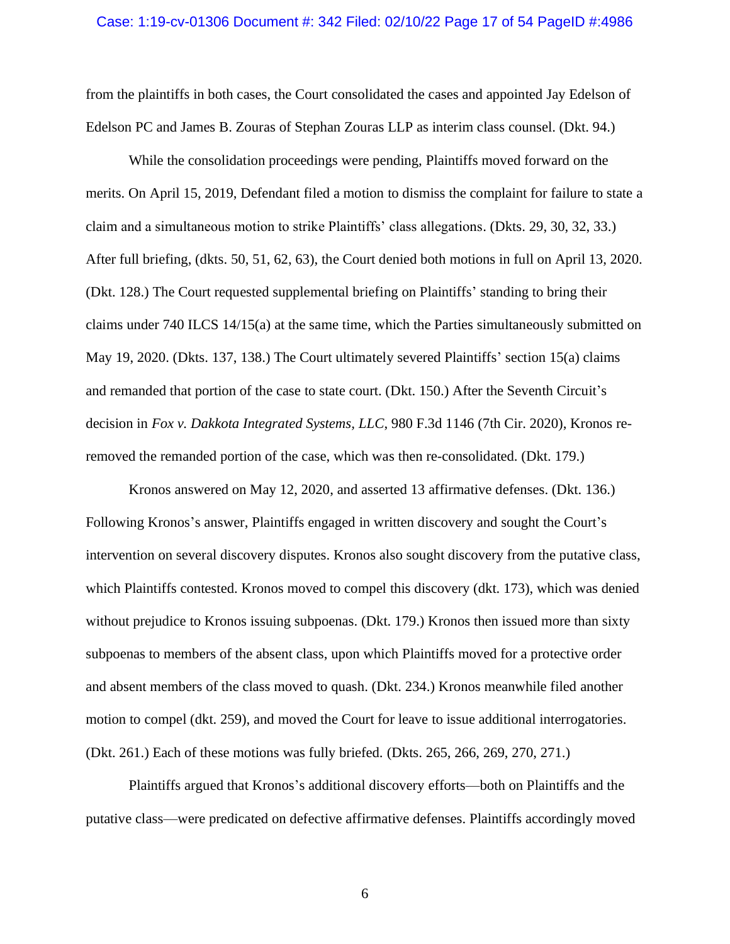#### Case: 1:19-cv-01306 Document #: 342 Filed: 02/10/22 Page 17 of 54 PageID #:4986

from the plaintiffs in both cases, the Court consolidated the cases and appointed Jay Edelson of Edelson PC and James B. Zouras of Stephan Zouras LLP as interim class counsel. (Dkt. 94.)

While the consolidation proceedings were pending, Plaintiffs moved forward on the merits. On April 15, 2019, Defendant filed a motion to dismiss the complaint for failure to state a claim and a simultaneous motion to strike Plaintiffs' class allegations. (Dkts. 29, 30, 32, 33.) After full briefing, (dkts. 50, 51, 62, 63), the Court denied both motions in full on April 13, 2020. (Dkt. 128.) The Court requested supplemental briefing on Plaintiffs' standing to bring their claims under 740 ILCS 14/15(a) at the same time, which the Parties simultaneously submitted on May 19, 2020. (Dkts. 137, 138.) The Court ultimately severed Plaintiffs' section 15(a) claims and remanded that portion of the case to state court. (Dkt. 150.) After the Seventh Circuit's decision in *Fox v. Dakkota Integrated Systems, LLC*, 980 F.3d 1146 (7th Cir. 2020), Kronos reremoved the remanded portion of the case, which was then re-consolidated. (Dkt. 179.)

Kronos answered on May 12, 2020, and asserted 13 affirmative defenses. (Dkt. 136.) Following Kronos's answer, Plaintiffs engaged in written discovery and sought the Court's intervention on several discovery disputes. Kronos also sought discovery from the putative class, which Plaintiffs contested. Kronos moved to compel this discovery (dkt. 173), which was denied without prejudice to Kronos issuing subpoenas. (Dkt. 179.) Kronos then issued more than sixty subpoenas to members of the absent class, upon which Plaintiffs moved for a protective order and absent members of the class moved to quash. (Dkt. 234.) Kronos meanwhile filed another motion to compel (dkt. 259), and moved the Court for leave to issue additional interrogatories. (Dkt. 261.) Each of these motions was fully briefed. (Dkts. 265, 266, 269, 270, 271.)

Plaintiffs argued that Kronos's additional discovery efforts—both on Plaintiffs and the putative class—were predicated on defective affirmative defenses. Plaintiffs accordingly moved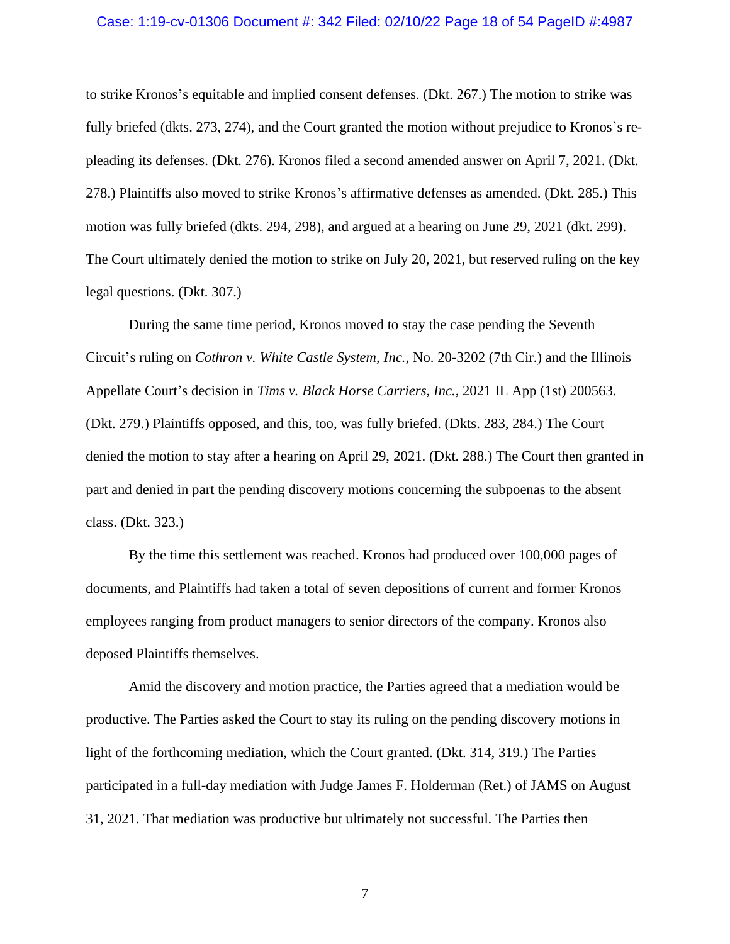## Case: 1:19-cv-01306 Document #: 342 Filed: 02/10/22 Page 18 of 54 PageID #:4987

to strike Kronos's equitable and implied consent defenses. (Dkt. 267.) The motion to strike was fully briefed (dkts. 273, 274), and the Court granted the motion without prejudice to Kronos's repleading its defenses. (Dkt. 276). Kronos filed a second amended answer on April 7, 2021. (Dkt. 278.) Plaintiffs also moved to strike Kronos's affirmative defenses as amended. (Dkt. 285.) This motion was fully briefed (dkts. 294, 298), and argued at a hearing on June 29, 2021 (dkt. 299). The Court ultimately denied the motion to strike on July 20, 2021, but reserved ruling on the key legal questions. (Dkt. 307.)

During the same time period, Kronos moved to stay the case pending the Seventh Circuit's ruling on *Cothron v. White Castle System, Inc.*, No. 20-3202 (7th Cir.) and the Illinois Appellate Court's decision in *Tims v. Black Horse Carriers, Inc.*, 2021 IL App (1st) 200563. (Dkt. 279.) Plaintiffs opposed, and this, too, was fully briefed. (Dkts. 283, 284.) The Court denied the motion to stay after a hearing on April 29, 2021. (Dkt. 288.) The Court then granted in part and denied in part the pending discovery motions concerning the subpoenas to the absent class. (Dkt. 323.)

By the time this settlement was reached. Kronos had produced over 100,000 pages of documents, and Plaintiffs had taken a total of seven depositions of current and former Kronos employees ranging from product managers to senior directors of the company. Kronos also deposed Plaintiffs themselves.

Amid the discovery and motion practice, the Parties agreed that a mediation would be productive. The Parties asked the Court to stay its ruling on the pending discovery motions in light of the forthcoming mediation, which the Court granted. (Dkt. 314, 319.) The Parties participated in a full-day mediation with Judge James F. Holderman (Ret.) of JAMS on August 31, 2021. That mediation was productive but ultimately not successful. The Parties then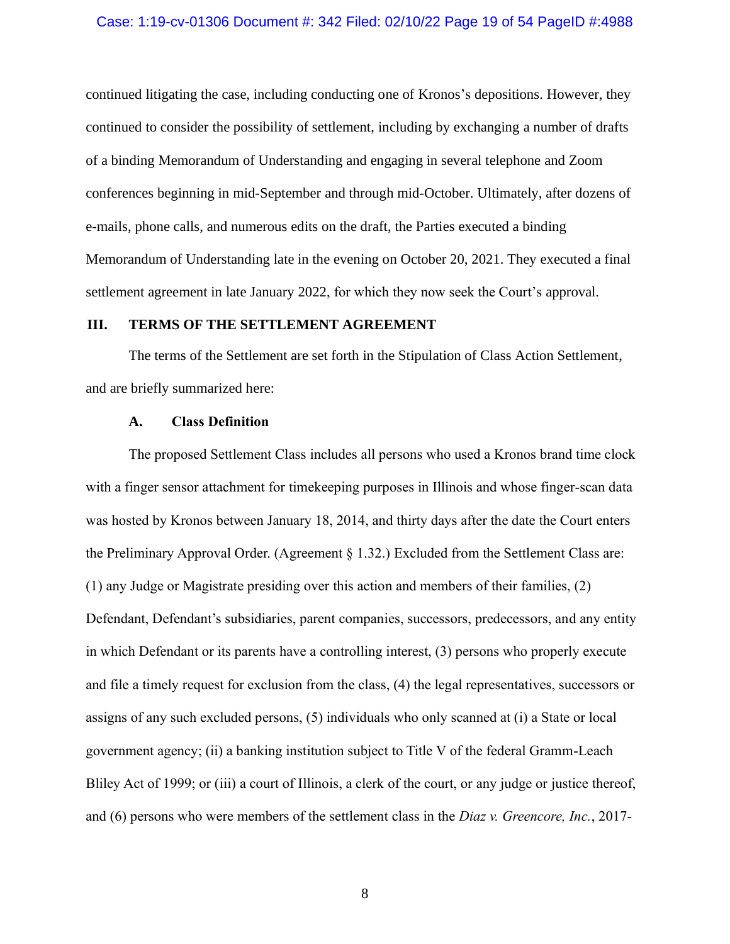#### Case: 1:19-cv-01306 Document #: 342 Filed: 02/10/22 Page 19 of 54 PageID #:4988

continued litigating the case, including conducting one of Kronos's depositions. However, they continued to consider the possibility of settlement, including by exchanging a number of drafts of a binding Memorandum of Understanding and engaging in several telephone and Zoom conferences beginning in mid-September and through mid-October. Ultimately, after dozens of e-mails, phone calls, and numerous edits on the draft, the Parties executed a binding Memorandum of Understanding late in the evening on October 20, 2021. They executed a final settlement agreement in late January 2022, for which they now seek the Court's approval.

## **III. TERMS OF THE SETTLEMENT AGREEMENT**

The terms of the Settlement are set forth in the Stipulation of Class Action Settlement, and are briefly summarized here:

## **A. Class Definition**

The proposed Settlement Class includes all persons who used a Kronos brand time clock with a finger sensor attachment for timekeeping purposes in Illinois and whose finger-scan data was hosted by Kronos between January 18, 2014, and thirty days after the date the Court enters the Preliminary Approval Order. (Agreement § 1.32.) Excluded from the Settlement Class are: (1) any Judge or Magistrate presiding over this action and members of their families, (2) Defendant, Defendant's subsidiaries, parent companies, successors, predecessors, and any entity in which Defendant or its parents have a controlling interest, (3) persons who properly execute and file a timely request for exclusion from the class, (4) the legal representatives, successors or assigns of any such excluded persons, (5) individuals who only scanned at (i) a State or local government agency; (ii) a banking institution subject to Title V of the federal Gramm-Leach Bliley Act of 1999; or (iii) a court of Illinois, a clerk of the court, or any judge or justice thereof, and (6) persons who were members of the settlement class in the *Diaz v. Greencore, Inc.*, 2017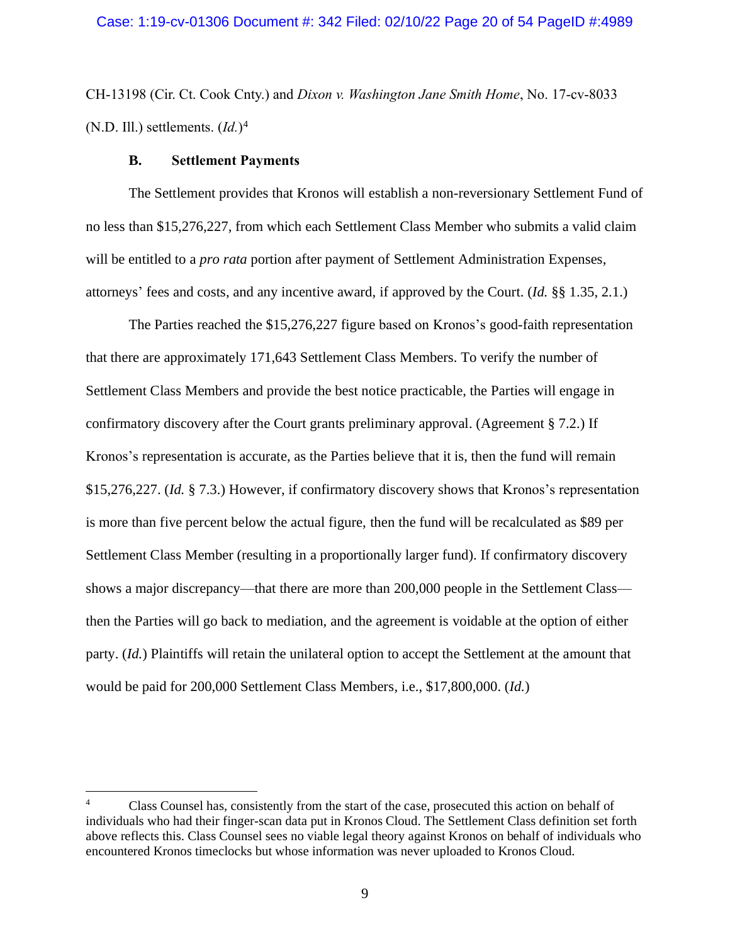CH-13198 (Cir. Ct. Cook Cnty.) and *Dixon v. Washington Jane Smith Home*, No. 17-cv-8033 (N.D. Ill.) settlements. (*Id.*) 4

## **B. Settlement Payments**

The Settlement provides that Kronos will establish a non-reversionary Settlement Fund of no less than \$15,276,227, from which each Settlement Class Member who submits a valid claim will be entitled to a *pro rata* portion after payment of Settlement Administration Expenses, attorneys' fees and costs, and any incentive award, if approved by the Court. (*Id.* §§ 1.35, 2.1.)

The Parties reached the \$15,276,227 figure based on Kronos's good-faith representation that there are approximately 171,643 Settlement Class Members. To verify the number of Settlement Class Members and provide the best notice practicable, the Parties will engage in confirmatory discovery after the Court grants preliminary approval. (Agreement § 7.2.) If Kronos's representation is accurate, as the Parties believe that it is, then the fund will remain \$15,276,227. (*Id.* § 7.3.) However, if confirmatory discovery shows that Kronos's representation is more than five percent below the actual figure, then the fund will be recalculated as \$89 per Settlement Class Member (resulting in a proportionally larger fund). If confirmatory discovery shows a major discrepancy—that there are more than 200,000 people in the Settlement Class then the Parties will go back to mediation, and the agreement is voidable at the option of either party. (*Id.*) Plaintiffs will retain the unilateral option to accept the Settlement at the amount that would be paid for 200,000 Settlement Class Members, i.e., \$17,800,000. (*Id.*)

<sup>4</sup> Class Counsel has, consistently from the start of the case, prosecuted this action on behalf of individuals who had their finger-scan data put in Kronos Cloud. The Settlement Class definition set forth above reflects this. Class Counsel sees no viable legal theory against Kronos on behalf of individuals who encountered Kronos timeclocks but whose information was never uploaded to Kronos Cloud.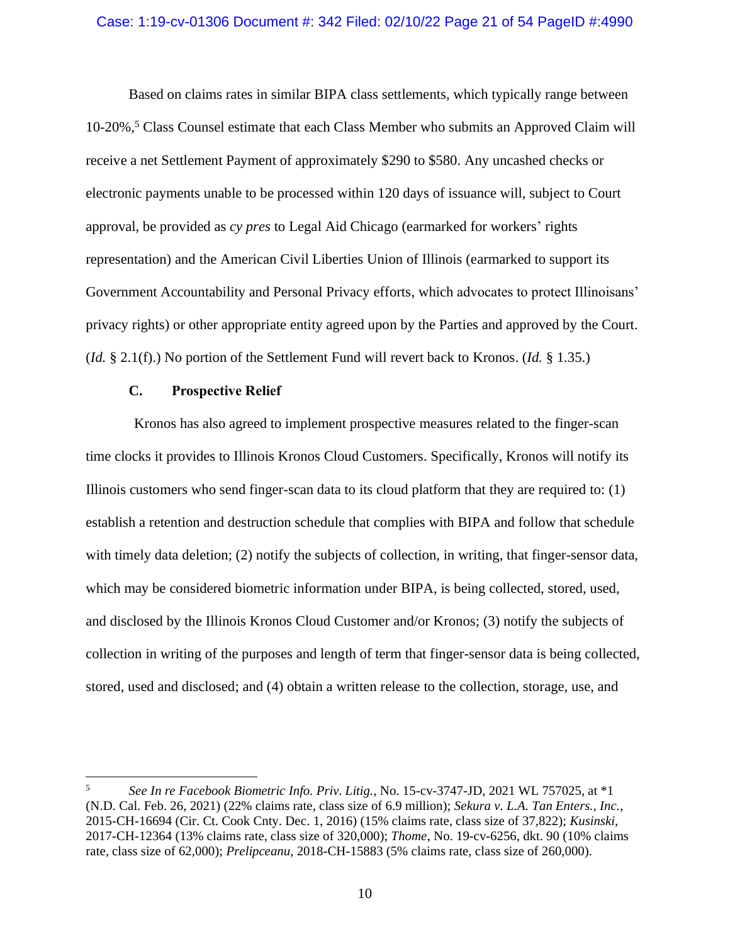## Case: 1:19-cv-01306 Document #: 342 Filed: 02/10/22 Page 21 of 54 PageID #:4990

Based on claims rates in similar BIPA class settlements, which typically range between 10-20%,<sup>5</sup> Class Counsel estimate that each Class Member who submits an Approved Claim will receive a net Settlement Payment of approximately \$290 to \$580. Any uncashed checks or electronic payments unable to be processed within 120 days of issuance will, subject to Court approval, be provided as *cy pres* to Legal Aid Chicago (earmarked for workers' rights representation) and the American Civil Liberties Union of Illinois (earmarked to support its Government Accountability and Personal Privacy efforts, which advocates to protect Illinoisans' privacy rights) or other appropriate entity agreed upon by the Parties and approved by the Court. (*Id.* § 2.1(f).) No portion of the Settlement Fund will revert back to Kronos. (*Id.* § 1.35.)

## **C. Prospective Relief**

Kronos has also agreed to implement prospective measures related to the finger-scan time clocks it provides to Illinois Kronos Cloud Customers. Specifically, Kronos will notify its Illinois customers who send finger-scan data to its cloud platform that they are required to: (1) establish a retention and destruction schedule that complies with BIPA and follow that schedule with timely data deletion; (2) notify the subjects of collection, in writing, that finger-sensor data, which may be considered biometric information under BIPA, is being collected, stored, used, and disclosed by the Illinois Kronos Cloud Customer and/or Kronos; (3) notify the subjects of collection in writing of the purposes and length of term that finger-sensor data is being collected, stored, used and disclosed; and (4) obtain a written release to the collection, storage, use, and

<sup>5</sup> *See In re Facebook Biometric Info. Priv. Litig.*, No. 15-cv-3747-JD, 2021 WL 757025, at \*1 (N.D. Cal. Feb. 26, 2021) (22% claims rate, class size of 6.9 million); *Sekura v. L.A. Tan Enters., Inc.*, 2015-CH-16694 (Cir. Ct. Cook Cnty. Dec. 1, 2016) (15% claims rate, class size of 37,822); *Kusinski*, 2017-CH-12364 (13% claims rate, class size of 320,000); *Thome*, No. 19-cv-6256, dkt. 90 (10% claims rate, class size of 62,000); *Prelipceanu*, 2018-CH-15883 (5% claims rate, class size of 260,000).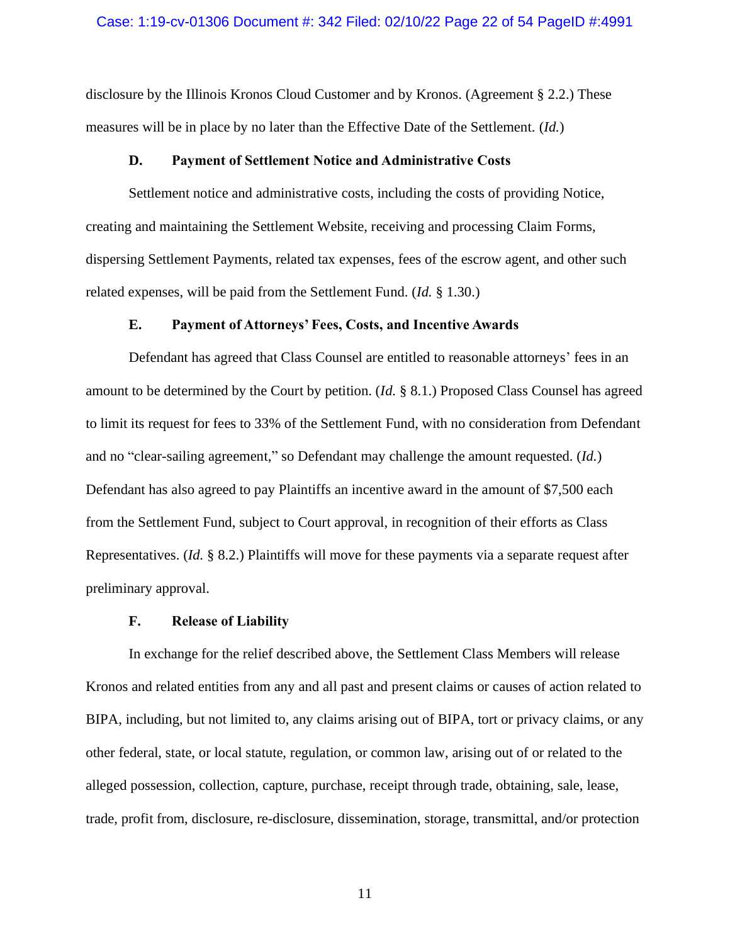## Case: 1:19-cv-01306 Document #: 342 Filed: 02/10/22 Page 22 of 54 PageID #:4991

disclosure by the Illinois Kronos Cloud Customer and by Kronos. (Agreement § 2.2.) These measures will be in place by no later than the Effective Date of the Settlement. (*Id.*)

## **D. Payment of Settlement Notice and Administrative Costs**

Settlement notice and administrative costs, including the costs of providing Notice, creating and maintaining the Settlement Website, receiving and processing Claim Forms, dispersing Settlement Payments, related tax expenses, fees of the escrow agent, and other such related expenses, will be paid from the Settlement Fund. (*Id.* § 1.30.)

## **E. Payment of Attorneys' Fees, Costs, and Incentive Awards**

Defendant has agreed that Class Counsel are entitled to reasonable attorneys' fees in an amount to be determined by the Court by petition. (*Id.* § 8.1.) Proposed Class Counsel has agreed to limit its request for fees to 33% of the Settlement Fund, with no consideration from Defendant and no "clear-sailing agreement," so Defendant may challenge the amount requested. (*Id.*) Defendant has also agreed to pay Plaintiffs an incentive award in the amount of \$7,500 each from the Settlement Fund, subject to Court approval, in recognition of their efforts as Class Representatives. (*Id.* § 8.2.) Plaintiffs will move for these payments via a separate request after preliminary approval.

## **F. Release of Liability**

In exchange for the relief described above, the Settlement Class Members will release Kronos and related entities from any and all past and present claims or causes of action related to BIPA, including, but not limited to, any claims arising out of BIPA, tort or privacy claims, or any other federal, state, or local statute, regulation, or common law, arising out of or related to the alleged possession, collection, capture, purchase, receipt through trade, obtaining, sale, lease, trade, profit from, disclosure, re-disclosure, dissemination, storage, transmittal, and/or protection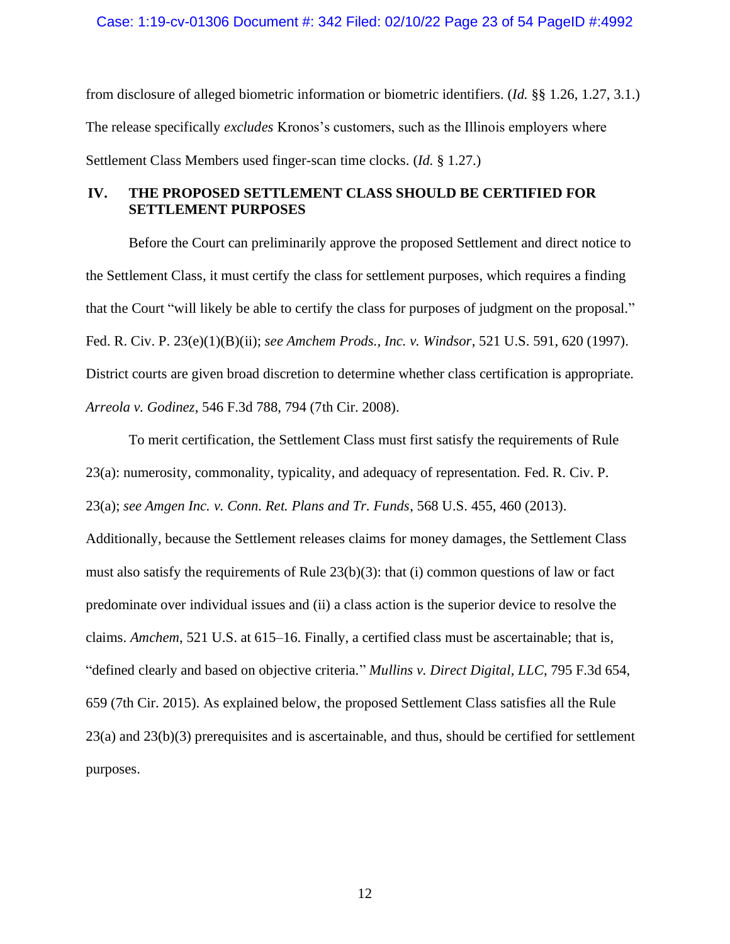Case: 1:19-cv-01306 Document #: 342 Filed: 02/10/22 Page 23 of 54 PageID #:4992

from disclosure of alleged biometric information or biometric identifiers. (*Id.* §§ 1.26, 1.27, 3.1.) The release specifically *excludes* Kronos's customers, such as the Illinois employers where Settlement Class Members used finger-scan time clocks. (*Id.* § 1.27.)

## **IV. THE PROPOSED SETTLEMENT CLASS SHOULD BE CERTIFIED FOR SETTLEMENT PURPOSES**

Before the Court can preliminarily approve the proposed Settlement and direct notice to the Settlement Class, it must certify the class for settlement purposes, which requires a finding that the Court "will likely be able to certify the class for purposes of judgment on the proposal." Fed. R. Civ. P. 23(e)(1)(B)(ii); *see Amchem Prods., Inc. v. Windsor*, 521 U.S. 591, 620 (1997). District courts are given broad discretion to determine whether class certification is appropriate. *Arreola v. Godinez*, 546 F.3d 788, 794 (7th Cir. 2008).

To merit certification, the Settlement Class must first satisfy the requirements of Rule 23(a): numerosity, commonality, typicality, and adequacy of representation. Fed. R. Civ. P. 23(a); *see Amgen Inc. v. Conn. Ret. Plans and Tr. Funds*, 568 U.S. 455, 460 (2013).

Additionally, because the Settlement releases claims for money damages, the Settlement Class must also satisfy the requirements of Rule 23(b)(3): that (i) common questions of law or fact predominate over individual issues and (ii) a class action is the superior device to resolve the claims. *Amchem*, 521 U.S. at 615–16. Finally, a certified class must be ascertainable; that is, "defined clearly and based on objective criteria." *Mullins v. Direct Digital, LLC*, 795 F.3d 654, 659 (7th Cir. 2015). As explained below, the proposed Settlement Class satisfies all the Rule 23(a) and 23(b)(3) prerequisites and is ascertainable, and thus, should be certified for settlement purposes.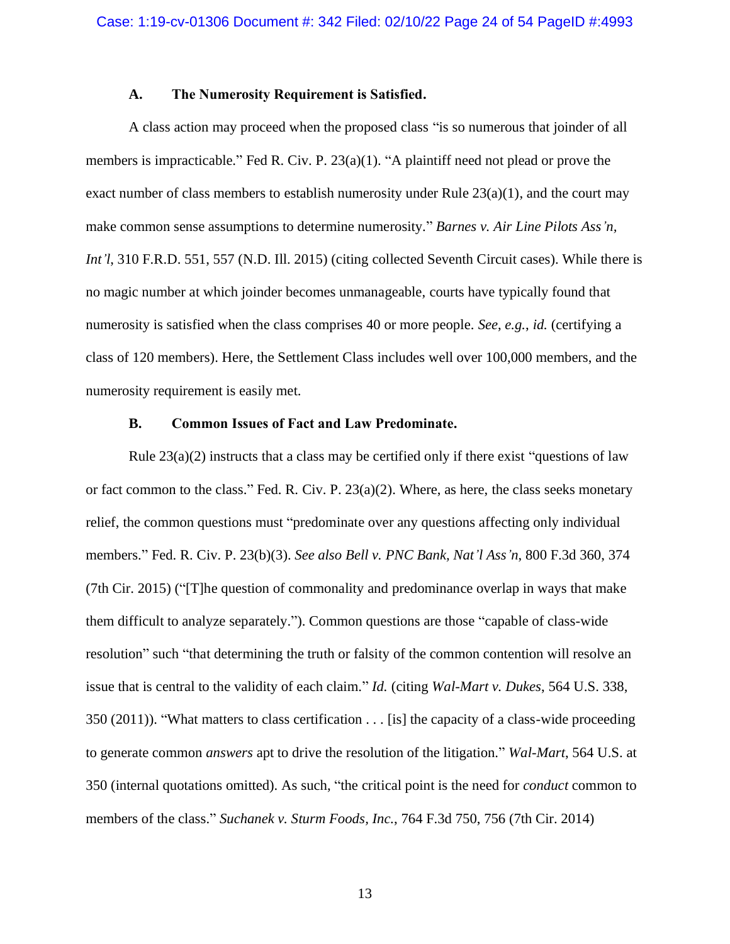## **A. The Numerosity Requirement is Satisfied.**

A class action may proceed when the proposed class "is so numerous that joinder of all members is impracticable." Fed R. Civ. P. 23(a)(1). "A plaintiff need not plead or prove the exact number of class members to establish numerosity under Rule  $23(a)(1)$ , and the court may make common sense assumptions to determine numerosity." *Barnes v. Air Line Pilots Ass'n, Int'l*, 310 F.R.D. 551, 557 (N.D. Ill. 2015) (citing collected Seventh Circuit cases). While there is no magic number at which joinder becomes unmanageable, courts have typically found that numerosity is satisfied when the class comprises 40 or more people. *See*, *e.g.*, *id.* (certifying a class of 120 members). Here, the Settlement Class includes well over 100,000 members, and the numerosity requirement is easily met.

## **B. Common Issues of Fact and Law Predominate.**

Rule  $23(a)(2)$  instructs that a class may be certified only if there exist "questions of law or fact common to the class." Fed. R. Civ. P.  $23(a)(2)$ . Where, as here, the class seeks monetary relief, the common questions must "predominate over any questions affecting only individual members." Fed. R. Civ. P. 23(b)(3). *See also Bell v. PNC Bank, Nat'l Ass'n*, 800 F.3d 360, 374 (7th Cir. 2015) ("[T]he question of commonality and predominance overlap in ways that make them difficult to analyze separately."). Common questions are those "capable of class-wide resolution" such "that determining the truth or falsity of the common contention will resolve an issue that is central to the validity of each claim." *Id.* (citing *Wal-Mart v. Dukes*, 564 U.S. 338, 350 (2011)). "What matters to class certification . . . [is] the capacity of a class-wide proceeding to generate common *answers* apt to drive the resolution of the litigation." *Wal-Mart*, 564 U.S. at 350 (internal quotations omitted). As such, "the critical point is the need for *conduct* common to members of the class." *Suchanek v. Sturm Foods, Inc.*, 764 F.3d 750, 756 (7th Cir. 2014)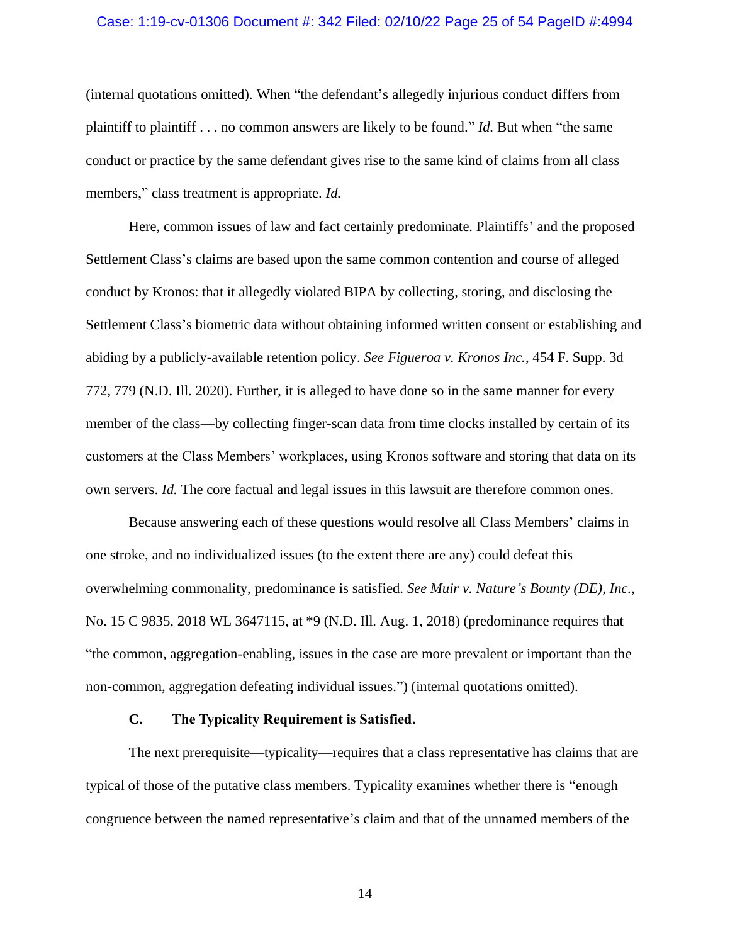### Case: 1:19-cv-01306 Document #: 342 Filed: 02/10/22 Page 25 of 54 PageID #:4994

(internal quotations omitted). When "the defendant's allegedly injurious conduct differs from plaintiff to plaintiff . . . no common answers are likely to be found." *Id.* But when "the same conduct or practice by the same defendant gives rise to the same kind of claims from all class members," class treatment is appropriate. *Id.* 

Here, common issues of law and fact certainly predominate. Plaintiffs' and the proposed Settlement Class's claims are based upon the same common contention and course of alleged conduct by Kronos: that it allegedly violated BIPA by collecting, storing, and disclosing the Settlement Class's biometric data without obtaining informed written consent or establishing and abiding by a publicly-available retention policy. *See Figueroa v. Kronos Inc.*, 454 F. Supp. 3d 772, 779 (N.D. Ill. 2020). Further, it is alleged to have done so in the same manner for every member of the class—by collecting finger-scan data from time clocks installed by certain of its customers at the Class Members' workplaces, using Kronos software and storing that data on its own servers. *Id.* The core factual and legal issues in this lawsuit are therefore common ones.

Because answering each of these questions would resolve all Class Members' claims in one stroke, and no individualized issues (to the extent there are any) could defeat this overwhelming commonality, predominance is satisfied. *See Muir v. Nature's Bounty (DE), Inc.*, No. 15 C 9835, 2018 WL 3647115, at \*9 (N.D. Ill. Aug. 1, 2018) (predominance requires that "the common, aggregation-enabling, issues in the case are more prevalent or important than the non-common, aggregation defeating individual issues.") (internal quotations omitted).

## **C. The Typicality Requirement is Satisfied.**

The next prerequisite—typicality—requires that a class representative has claims that are typical of those of the putative class members. Typicality examines whether there is "enough congruence between the named representative's claim and that of the unnamed members of the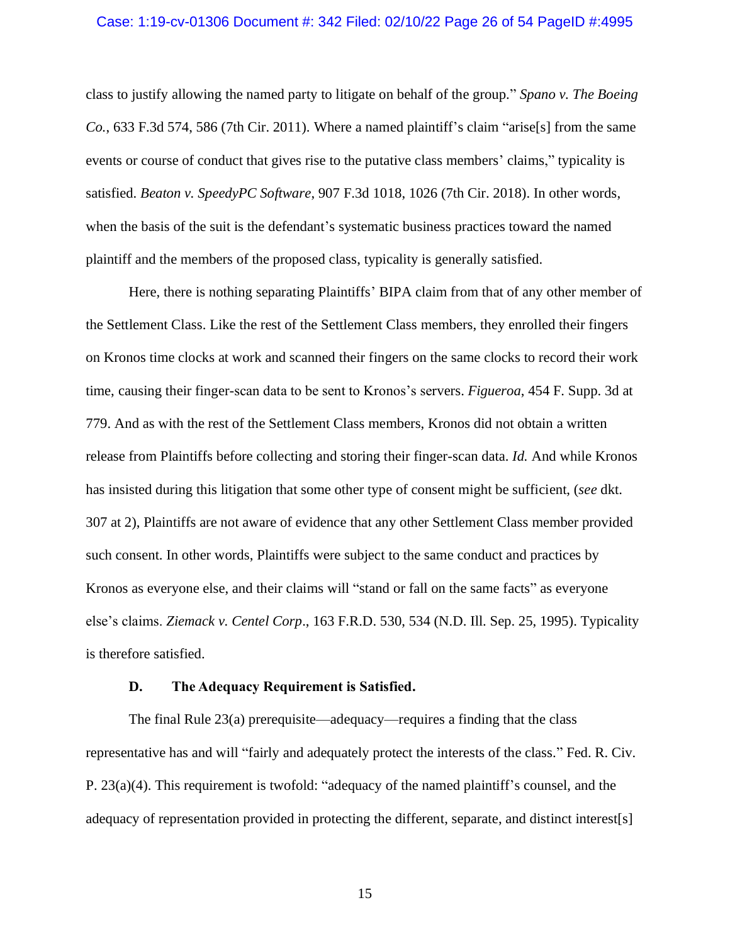## Case: 1:19-cv-01306 Document #: 342 Filed: 02/10/22 Page 26 of 54 PageID #:4995

class to justify allowing the named party to litigate on behalf of the group." *Spano v. The Boeing Co.*, 633 F.3d 574, 586 (7th Cir. 2011). Where a named plaintiff's claim "arise[s] from the same events or course of conduct that gives rise to the putative class members' claims," typicality is satisfied. *Beaton v. SpeedyPC Software*, 907 F.3d 1018, 1026 (7th Cir. 2018). In other words, when the basis of the suit is the defendant's systematic business practices toward the named plaintiff and the members of the proposed class, typicality is generally satisfied.

Here, there is nothing separating Plaintiffs' BIPA claim from that of any other member of the Settlement Class. Like the rest of the Settlement Class members, they enrolled their fingers on Kronos time clocks at work and scanned their fingers on the same clocks to record their work time, causing their finger-scan data to be sent to Kronos's servers. *Figueroa*, 454 F. Supp. 3d at 779. And as with the rest of the Settlement Class members, Kronos did not obtain a written release from Plaintiffs before collecting and storing their finger-scan data. *Id.* And while Kronos has insisted during this litigation that some other type of consent might be sufficient, (*see* dkt. 307 at 2), Plaintiffs are not aware of evidence that any other Settlement Class member provided such consent. In other words, Plaintiffs were subject to the same conduct and practices by Kronos as everyone else, and their claims will "stand or fall on the same facts" as everyone else's claims. *Ziemack v. Centel Corp*., 163 F.R.D. 530, 534 (N.D. Ill. Sep. 25, 1995). Typicality is therefore satisfied.

## **D. The Adequacy Requirement is Satisfied.**

The final Rule 23(a) prerequisite—adequacy—requires a finding that the class representative has and will "fairly and adequately protect the interests of the class." Fed. R. Civ. P. 23(a)(4). This requirement is twofold: "adequacy of the named plaintiff's counsel, and the adequacy of representation provided in protecting the different, separate, and distinct interest[s]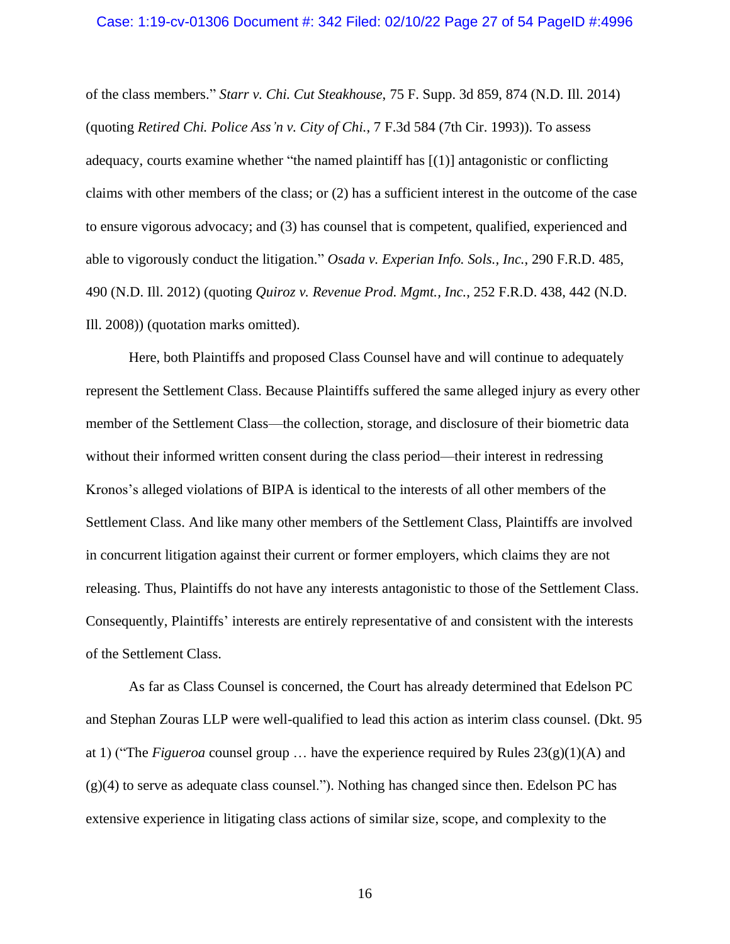of the class members." *Starr v. Chi. Cut Steakhouse*, 75 F. Supp. 3d 859, 874 (N.D. Ill. 2014) (quoting *Retired Chi. Police Ass'n v. City of Chi.*, 7 F.3d 584 (7th Cir. 1993)). To assess adequacy, courts examine whether "the named plaintiff has [(1)] antagonistic or conflicting claims with other members of the class; or (2) has a sufficient interest in the outcome of the case to ensure vigorous advocacy; and (3) has counsel that is competent, qualified, experienced and able to vigorously conduct the litigation." *Osada v. Experian Info. Sols., Inc.*, 290 F.R.D. 485, 490 (N.D. Ill. 2012) (quoting *Quiroz v. Revenue Prod. Mgmt., Inc.*, 252 F.R.D. 438, 442 (N.D. Ill. 2008)) (quotation marks omitted).

Here, both Plaintiffs and proposed Class Counsel have and will continue to adequately represent the Settlement Class. Because Plaintiffs suffered the same alleged injury as every other member of the Settlement Class—the collection, storage, and disclosure of their biometric data without their informed written consent during the class period—their interest in redressing Kronos's alleged violations of BIPA is identical to the interests of all other members of the Settlement Class. And like many other members of the Settlement Class, Plaintiffs are involved in concurrent litigation against their current or former employers, which claims they are not releasing. Thus, Plaintiffs do not have any interests antagonistic to those of the Settlement Class. Consequently, Plaintiffs' interests are entirely representative of and consistent with the interests of the Settlement Class.

As far as Class Counsel is concerned, the Court has already determined that Edelson PC and Stephan Zouras LLP were well-qualified to lead this action as interim class counsel. (Dkt. 95 at 1) ("The *Figueroa* counsel group ... have the experience required by Rules  $23(g)(1)(A)$  and (g)(4) to serve as adequate class counsel."). Nothing has changed since then. Edelson PC has extensive experience in litigating class actions of similar size, scope, and complexity to the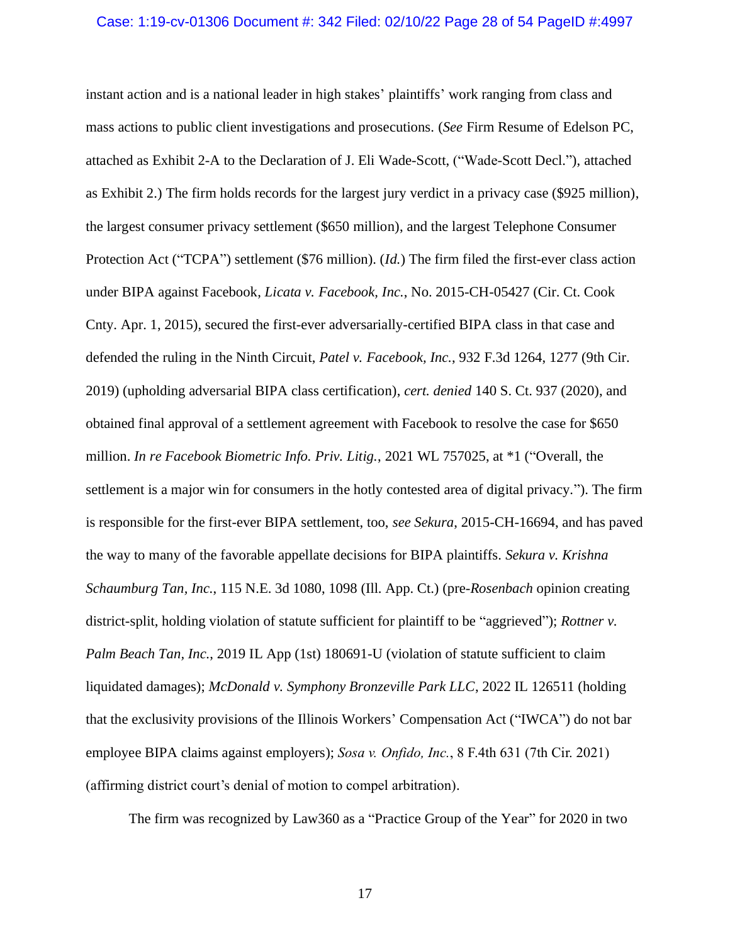#### Case: 1:19-cv-01306 Document #: 342 Filed: 02/10/22 Page 28 of 54 PageID #:4997

instant action and is a national leader in high stakes' plaintiffs' work ranging from class and mass actions to public client investigations and prosecutions. (*See* Firm Resume of Edelson PC, attached as Exhibit 2-A to the Declaration of J. Eli Wade-Scott, ("Wade-Scott Decl."), attached as Exhibit 2.) The firm holds records for the largest jury verdict in a privacy case (\$925 million), the largest consumer privacy settlement (\$650 million), and the largest Telephone Consumer Protection Act ("TCPA") settlement (\$76 million). (*Id.*) The firm filed the first-ever class action under BIPA against Facebook, *Licata v. Facebook, Inc.*, No. 2015-CH-05427 (Cir. Ct. Cook Cnty. Apr. 1, 2015), secured the first-ever adversarially-certified BIPA class in that case and defended the ruling in the Ninth Circuit, *Patel v. Facebook, Inc.*, 932 F.3d 1264, 1277 (9th Cir. 2019) (upholding adversarial BIPA class certification), *cert. denied* 140 S. Ct. 937 (2020), and obtained final approval of a settlement agreement with Facebook to resolve the case for \$650 million. *In re Facebook Biometric Info. Priv. Litig.*, 2021 WL 757025, at \*1 ("Overall, the settlement is a major win for consumers in the hotly contested area of digital privacy."). The firm is responsible for the first-ever BIPA settlement, too, *see Sekura*, 2015-CH-16694, and has paved the way to many of the favorable appellate decisions for BIPA plaintiffs. *Sekura v. Krishna Schaumburg Tan, Inc.*, 115 N.E. 3d 1080, 1098 (Ill. App. Ct.) (pre-*Rosenbach* opinion creating district-split, holding violation of statute sufficient for plaintiff to be "aggrieved"); *Rottner v. Palm Beach Tan, Inc.*, 2019 IL App (1st) 180691-U (violation of statute sufficient to claim liquidated damages); *McDonald v. Symphony Bronzeville Park LLC*, 2022 IL 126511 (holding that the exclusivity provisions of the Illinois Workers' Compensation Act ("IWCA") do not bar employee BIPA claims against employers); *Sosa v. Onfido, Inc.*, 8 F.4th 631 (7th Cir. 2021) (affirming district court's denial of motion to compel arbitration).

The firm was recognized by Law360 as a "Practice Group of the Year" for 2020 in two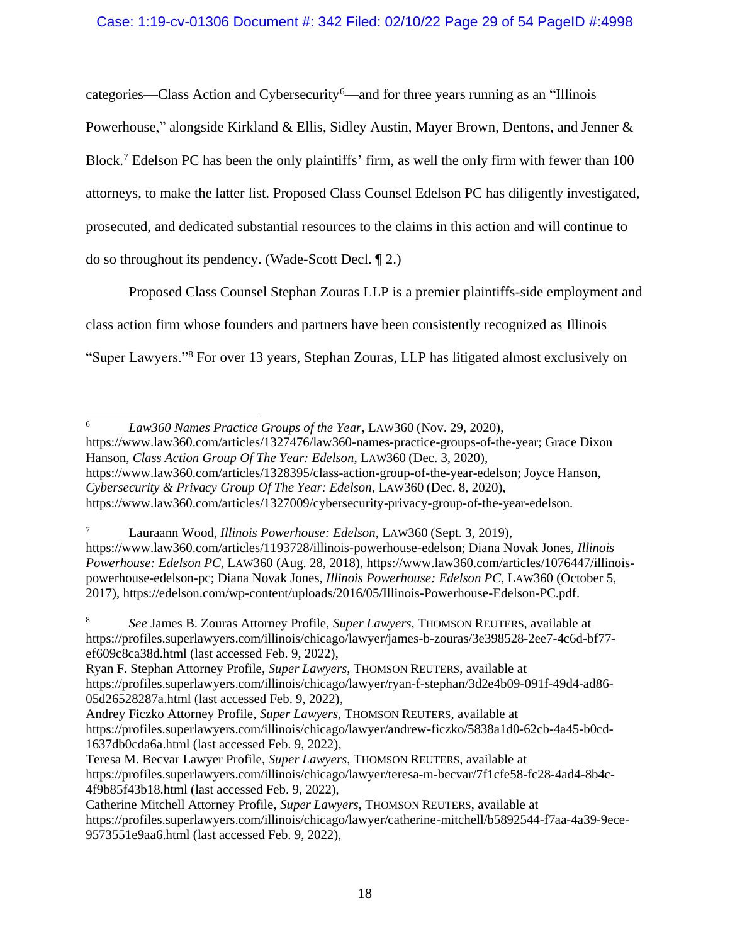## Case: 1:19-cv-01306 Document #: 342 Filed: 02/10/22 Page 29 of 54 PageID #:4998

categories—Class Action and Cybersecurity<sup>6</sup>—and for three years running as an "Illinois" Powerhouse," alongside Kirkland & Ellis, Sidley Austin, Mayer Brown, Dentons, and Jenner & Block.<sup>7</sup> Edelson PC has been the only plaintiffs' firm, as well the only firm with fewer than 100 attorneys, to make the latter list. Proposed Class Counsel Edelson PC has diligently investigated, prosecuted, and dedicated substantial resources to the claims in this action and will continue to do so throughout its pendency. (Wade-Scott Decl. ¶ 2.)

Proposed Class Counsel Stephan Zouras LLP is a premier plaintiffs-side employment and class action firm whose founders and partners have been consistently recognized as Illinois "Super Lawyers."<sup>8</sup> For over 13 years, Stephan Zouras, LLP has litigated almost exclusively on

<sup>6</sup> *Law360 Names Practice Groups of the Year*, LAW360 (Nov. 29, 2020), https://www.law360.com/articles/1327476/law360-names-practice-groups-of-the-year; Grace Dixon Hanson, *Class Action Group Of The Year: Edelson*, LAW360 (Dec. 3, 2020), https://www.law360.com/articles/1328395/class-action-group-of-the-year-edelson; Joyce Hanson, *Cybersecurity & Privacy Group Of The Year: Edelson*, LAW360 (Dec. 8, 2020), https://www.law360.com/articles/1327009/cybersecurity-privacy-group-of-the-year-edelson.

<sup>7</sup> Lauraann Wood, *Illinois Powerhouse: Edelson*, LAW360 (Sept. 3, 2019), https://www.law360.com/articles/1193728/illinois-powerhouse-edelson; Diana Novak Jones, *Illinois Powerhouse: Edelson PC*, LAW360 (Aug. 28, 2018), https://www.law360.com/articles/1076447/illinoispowerhouse-edelson-pc; Diana Novak Jones, *Illinois Powerhouse: Edelson PC*, LAW360 (October 5, 2017), https://edelson.com/wp-content/uploads/2016/05/Illinois-Powerhouse-Edelson-PC.pdf.

<sup>8</sup> *See* James B. Zouras Attorney Profile, *Super Lawyers*, THOMSON REUTERS, available at https://profiles.superlawyers.com/illinois/chicago/lawyer/james-b-zouras/3e398528-2ee7-4c6d-bf77 ef609c8ca38d.html (last accessed Feb. 9, 2022),

Ryan F. Stephan Attorney Profile, *Super Lawyers*, THOMSON REUTERS, available at https://profiles.superlawyers.com/illinois/chicago/lawyer/ryan-f-stephan/3d2e4b09-091f-49d4-ad86- 05d26528287a.html (last accessed Feb. 9, 2022),

Andrey Ficzko Attorney Profile, *Super Lawyers*, THOMSON REUTERS, available at https://profiles.superlawyers.com/illinois/chicago/lawyer/andrew-ficzko/5838a1d0-62cb-4a45-b0cd-1637db0cda6a.html (last accessed Feb. 9, 2022),

Teresa M. Becvar Lawyer Profile, *Super Lawyers*, THOMSON REUTERS, available at https://profiles.superlawyers.com/illinois/chicago/lawyer/teresa-m-becvar/7f1cfe58-fc28-4ad4-8b4c-4f9b85f43b18.html (last accessed Feb. 9, 2022),

Catherine Mitchell Attorney Profile, *Super Lawyers*, THOMSON REUTERS, available at https://profiles.superlawyers.com/illinois/chicago/lawyer/catherine-mitchell/b5892544-f7aa-4a39-9ece-9573551e9aa6.html (last accessed Feb. 9, 2022),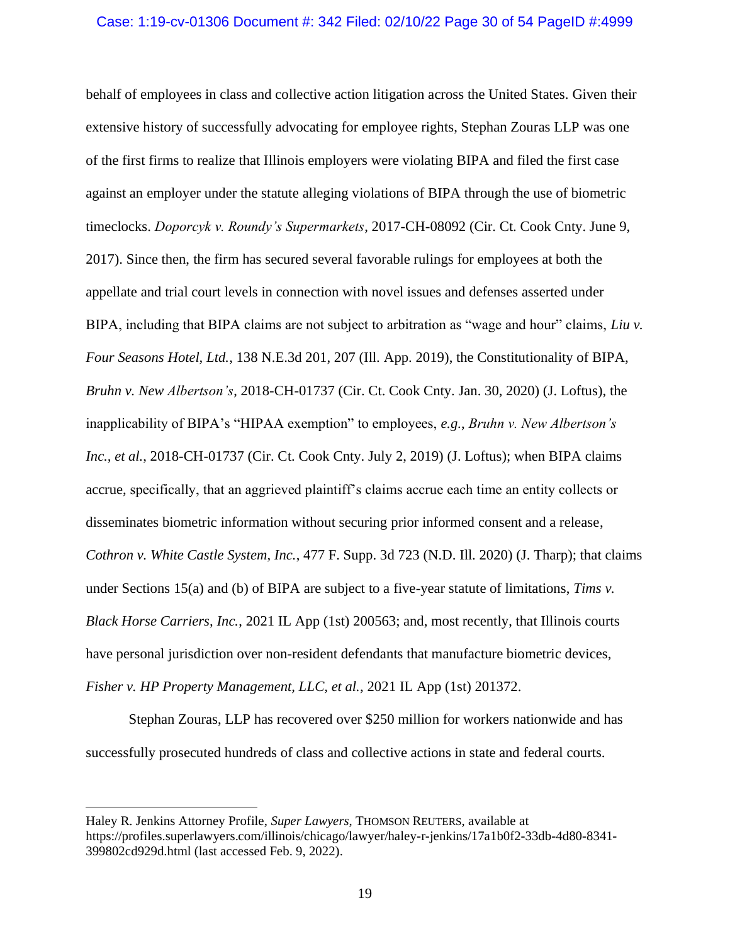## Case: 1:19-cv-01306 Document #: 342 Filed: 02/10/22 Page 30 of 54 PageID #:4999

behalf of employees in class and collective action litigation across the United States. Given their extensive history of successfully advocating for employee rights, Stephan Zouras LLP was one of the first firms to realize that Illinois employers were violating BIPA and filed the first case against an employer under the statute alleging violations of BIPA through the use of biometric timeclocks. *Doporcyk v. Roundy's Supermarkets*, 2017-CH-08092 (Cir. Ct. Cook Cnty. June 9, 2017). Since then, the firm has secured several favorable rulings for employees at both the appellate and trial court levels in connection with novel issues and defenses asserted under BIPA, including that BIPA claims are not subject to arbitration as "wage and hour" claims, *Liu v. Four Seasons Hotel, Ltd.*, 138 N.E.3d 201, 207 (Ill. App. 2019), the Constitutionality of BIPA, *Bruhn v. New Albertson's*, 2018-CH-01737 (Cir. Ct. Cook Cnty. Jan. 30, 2020) (J. Loftus), the inapplicability of BIPA's "HIPAA exemption" to employees, *e.g.*, *Bruhn v. New Albertson's Inc., et al.*, 2018-CH-01737 (Cir. Ct. Cook Cnty. July 2, 2019) (J. Loftus); when BIPA claims accrue, specifically, that an aggrieved plaintiff's claims accrue each time an entity collects or disseminates biometric information without securing prior informed consent and a release, *Cothron v. White Castle System, Inc.*, 477 F. Supp. 3d 723 (N.D. Ill. 2020) (J. Tharp); that claims under Sections 15(a) and (b) of BIPA are subject to a five-year statute of limitations, *Tims v. Black Horse Carriers, Inc.*, 2021 IL App (1st) 200563; and, most recently, that Illinois courts have personal jurisdiction over non-resident defendants that manufacture biometric devices, *Fisher v. HP Property Management, LLC, et al.*, 2021 IL App (1st) 201372.

Stephan Zouras, LLP has recovered over \$250 million for workers nationwide and has successfully prosecuted hundreds of class and collective actions in state and federal courts.

Haley R. Jenkins Attorney Profile, *Super Lawyers*, THOMSON REUTERS, available at https://profiles.superlawyers.com/illinois/chicago/lawyer/haley-r-jenkins/17a1b0f2-33db-4d80-8341- 399802cd929d.html (last accessed Feb. 9, 2022).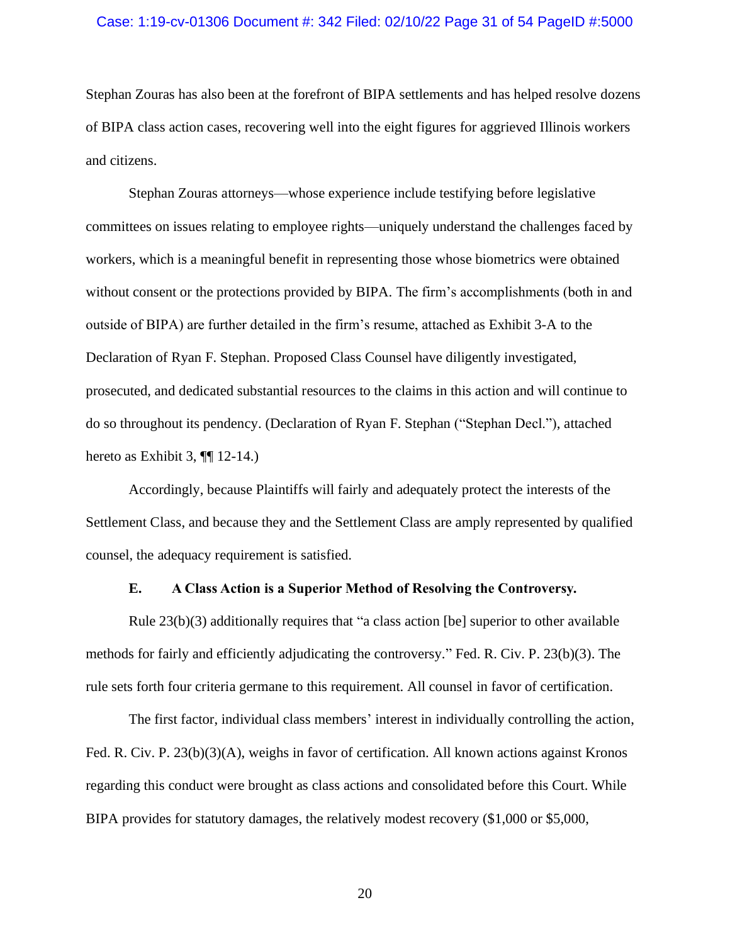## Case: 1:19-cv-01306 Document #: 342 Filed: 02/10/22 Page 31 of 54 PageID #:5000

Stephan Zouras has also been at the forefront of BIPA settlements and has helped resolve dozens of BIPA class action cases, recovering well into the eight figures for aggrieved Illinois workers and citizens.

Stephan Zouras attorneys—whose experience include testifying before legislative committees on issues relating to employee rights—uniquely understand the challenges faced by workers, which is a meaningful benefit in representing those whose biometrics were obtained without consent or the protections provided by BIPA. The firm's accomplishments (both in and outside of BIPA) are further detailed in the firm's resume, attached as Exhibit 3-A to the Declaration of Ryan F. Stephan. Proposed Class Counsel have diligently investigated, prosecuted, and dedicated substantial resources to the claims in this action and will continue to do so throughout its pendency. (Declaration of Ryan F. Stephan ("Stephan Decl."), attached hereto as Exhibit 3, **[[**] 12-14.)

Accordingly, because Plaintiffs will fairly and adequately protect the interests of the Settlement Class, and because they and the Settlement Class are amply represented by qualified counsel, the adequacy requirement is satisfied.

## **E. A Class Action is a Superior Method of Resolving the Controversy.**

Rule 23(b)(3) additionally requires that "a class action [be] superior to other available methods for fairly and efficiently adjudicating the controversy." Fed. R. Civ. P. 23(b)(3). The rule sets forth four criteria germane to this requirement. All counsel in favor of certification.

The first factor, individual class members' interest in individually controlling the action, Fed. R. Civ. P. 23(b)(3)(A), weighs in favor of certification. All known actions against Kronos regarding this conduct were brought as class actions and consolidated before this Court. While BIPA provides for statutory damages, the relatively modest recovery (\$1,000 or \$5,000,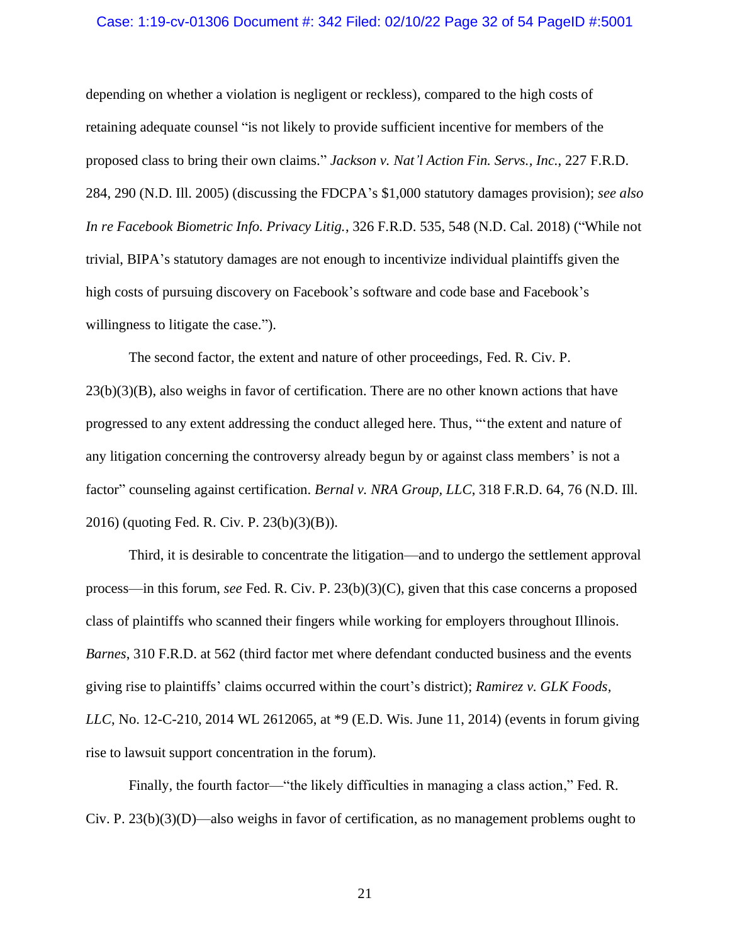## Case: 1:19-cv-01306 Document #: 342 Filed: 02/10/22 Page 32 of 54 PageID #:5001

depending on whether a violation is negligent or reckless), compared to the high costs of retaining adequate counsel "is not likely to provide sufficient incentive for members of the proposed class to bring their own claims." *Jackson v. Nat'l Action Fin. Servs., Inc.*, 227 F.R.D. 284, 290 (N.D. Ill. 2005) (discussing the FDCPA's \$1,000 statutory damages provision); *see also In re Facebook Biometric Info. Privacy Litig.*, 326 F.R.D. 535, 548 (N.D. Cal. 2018) ("While not trivial, BIPA's statutory damages are not enough to incentivize individual plaintiffs given the high costs of pursuing discovery on Facebook's software and code base and Facebook's willingness to litigate the case.").

The second factor, the extent and nature of other proceedings, Fed. R. Civ. P. 23(b)(3)(B), also weighs in favor of certification. There are no other known actions that have progressed to any extent addressing the conduct alleged here. Thus, "'the extent and nature of any litigation concerning the controversy already begun by or against class members' is not a factor" counseling against certification. *Bernal v. NRA Group, LLC*, 318 F.R.D. 64, 76 (N.D. Ill. 2016) (quoting Fed. R. Civ. P. 23(b)(3)(B)).

Third, it is desirable to concentrate the litigation—and to undergo the settlement approval process—in this forum, *see* Fed. R. Civ. P. 23(b)(3)(C), given that this case concerns a proposed class of plaintiffs who scanned their fingers while working for employers throughout Illinois. *Barnes*, 310 F.R.D. at 562 (third factor met where defendant conducted business and the events giving rise to plaintiffs' claims occurred within the court's district); *Ramirez v. GLK Foods, LLC*, No. 12-C-210, 2014 WL 2612065, at \*9 (E.D. Wis. June 11, 2014) (events in forum giving rise to lawsuit support concentration in the forum).

Finally, the fourth factor—"the likely difficulties in managing a class action," Fed. R. Civ. P. 23(b)(3)(D)—also weighs in favor of certification, as no management problems ought to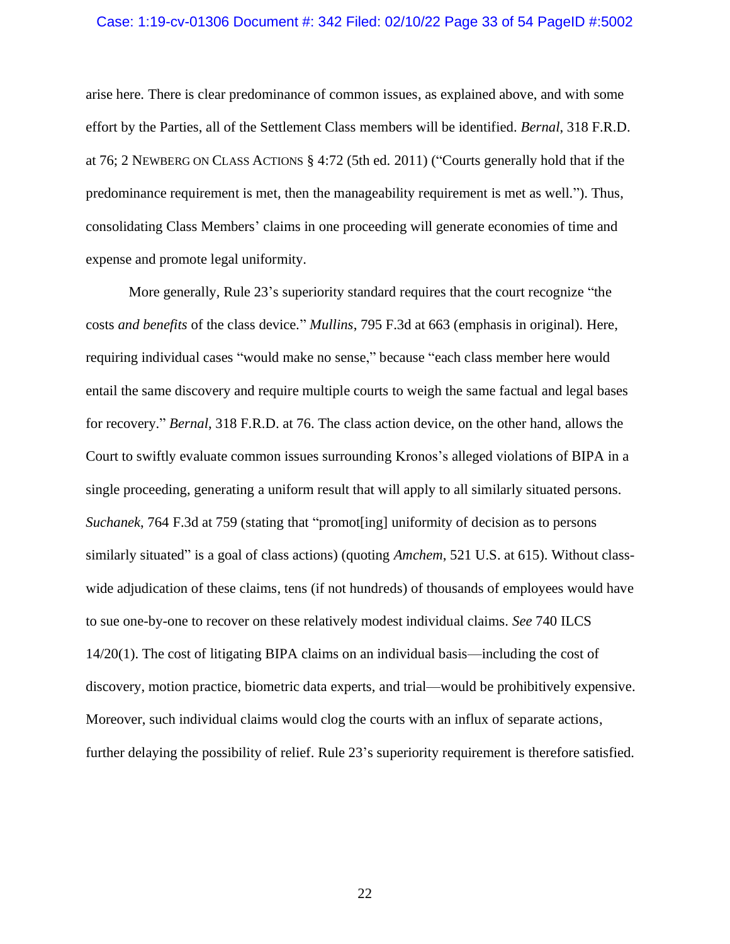## Case: 1:19-cv-01306 Document #: 342 Filed: 02/10/22 Page 33 of 54 PageID #:5002

arise here. There is clear predominance of common issues, as explained above, and with some effort by the Parties, all of the Settlement Class members will be identified. *Bernal*, 318 F.R.D. at 76; 2 NEWBERG ON CLASS ACTIONS § 4:72 (5th ed. 2011) ("Courts generally hold that if the predominance requirement is met, then the manageability requirement is met as well."). Thus, consolidating Class Members' claims in one proceeding will generate economies of time and expense and promote legal uniformity.

More generally, Rule 23's superiority standard requires that the court recognize "the costs *and benefits* of the class device." *Mullins*, 795 F.3d at 663 (emphasis in original). Here, requiring individual cases "would make no sense," because "each class member here would entail the same discovery and require multiple courts to weigh the same factual and legal bases for recovery." *Bernal*, 318 F.R.D. at 76. The class action device, on the other hand, allows the Court to swiftly evaluate common issues surrounding Kronos's alleged violations of BIPA in a single proceeding, generating a uniform result that will apply to all similarly situated persons. *Suchanek*, 764 F.3d at 759 (stating that "promot[ing] uniformity of decision as to persons similarly situated" is a goal of class actions) (quoting *Amchem*, 521 U.S. at 615). Without classwide adjudication of these claims, tens (if not hundreds) of thousands of employees would have to sue one-by-one to recover on these relatively modest individual claims. *See* 740 ILCS 14/20(1). The cost of litigating BIPA claims on an individual basis—including the cost of discovery, motion practice, biometric data experts, and trial—would be prohibitively expensive. Moreover, such individual claims would clog the courts with an influx of separate actions, further delaying the possibility of relief. Rule 23's superiority requirement is therefore satisfied.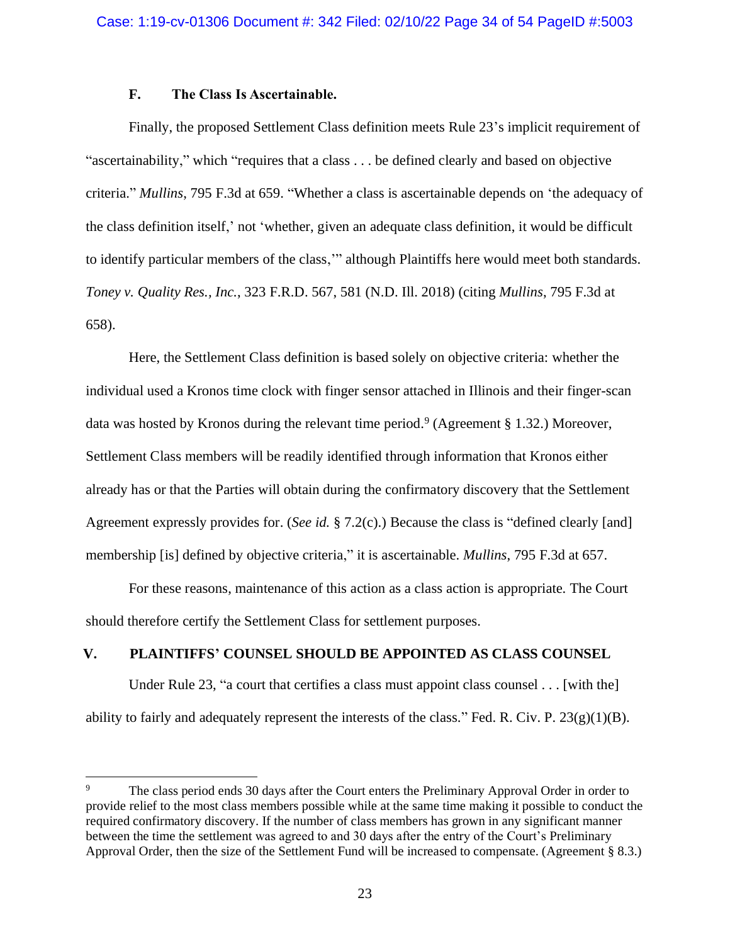## **F. The Class Is Ascertainable.**

Finally, the proposed Settlement Class definition meets Rule 23's implicit requirement of "ascertainability," which "requires that a class . . . be defined clearly and based on objective criteria." *Mullins*, 795 F.3d at 659. "Whether a class is ascertainable depends on 'the adequacy of the class definition itself,' not 'whether, given an adequate class definition, it would be difficult to identify particular members of the class,'" although Plaintiffs here would meet both standards. *Toney v. Quality Res., Inc.*, 323 F.R.D. 567, 581 (N.D. Ill. 2018) (citing *Mullins*, 795 F.3d at 658).

Here, the Settlement Class definition is based solely on objective criteria: whether the individual used a Kronos time clock with finger sensor attached in Illinois and their finger-scan data was hosted by Kronos during the relevant time period. 9 (Agreement § 1.32.) Moreover, Settlement Class members will be readily identified through information that Kronos either already has or that the Parties will obtain during the confirmatory discovery that the Settlement Agreement expressly provides for. (*See id.* § 7.2(c).) Because the class is "defined clearly [and] membership [is] defined by objective criteria," it is ascertainable. *Mullins*, 795 F.3d at 657.

For these reasons, maintenance of this action as a class action is appropriate. The Court should therefore certify the Settlement Class for settlement purposes.

## **V. PLAINTIFFS' COUNSEL SHOULD BE APPOINTED AS CLASS COUNSEL**

Under Rule 23, "a court that certifies a class must appoint class counsel . . . [with the] ability to fairly and adequately represent the interests of the class." Fed. R. Civ. P.  $23(g)(1)(B)$ .

<sup>9</sup> The class period ends 30 days after the Court enters the Preliminary Approval Order in order to provide relief to the most class members possible while at the same time making it possible to conduct the required confirmatory discovery. If the number of class members has grown in any significant manner between the time the settlement was agreed to and 30 days after the entry of the Court's Preliminary Approval Order, then the size of the Settlement Fund will be increased to compensate. (Agreement § 8.3.)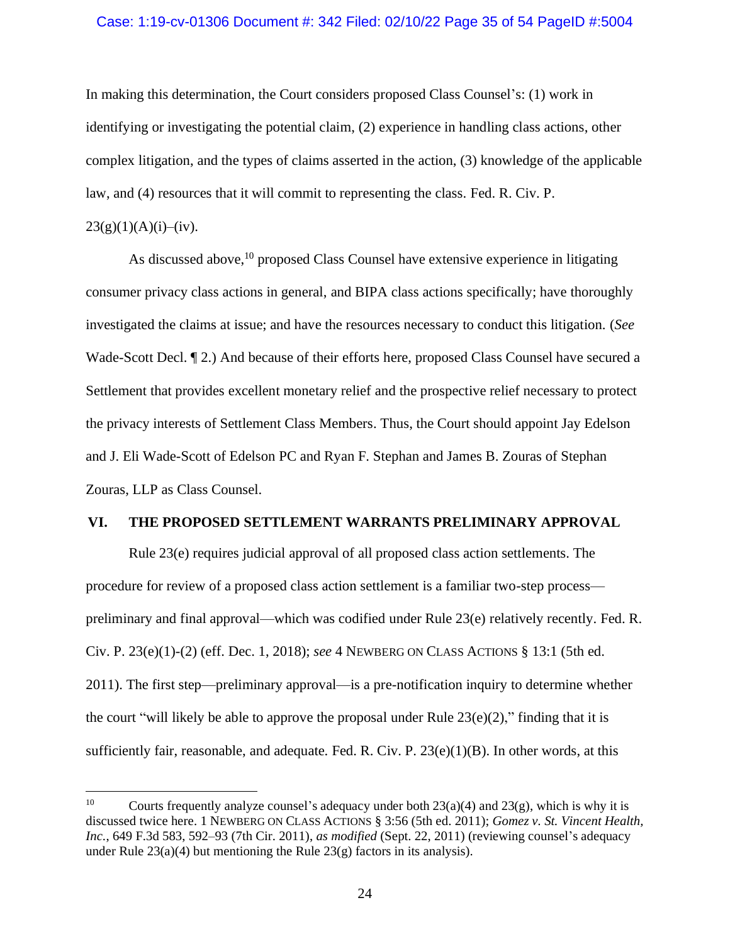## Case: 1:19-cv-01306 Document #: 342 Filed: 02/10/22 Page 35 of 54 PageID #:5004

In making this determination, the Court considers proposed Class Counsel's: (1) work in identifying or investigating the potential claim, (2) experience in handling class actions, other complex litigation, and the types of claims asserted in the action, (3) knowledge of the applicable law, and (4) resources that it will commit to representing the class. Fed. R. Civ. P.

## $23(g)(1)(A)(i)–(iv).$

As discussed above,<sup>10</sup> proposed Class Counsel have extensive experience in litigating consumer privacy class actions in general, and BIPA class actions specifically; have thoroughly investigated the claims at issue; and have the resources necessary to conduct this litigation. (*See* Wade-Scott Decl. ¶ 2.) And because of their efforts here, proposed Class Counsel have secured a Settlement that provides excellent monetary relief and the prospective relief necessary to protect the privacy interests of Settlement Class Members. Thus, the Court should appoint Jay Edelson and J. Eli Wade-Scott of Edelson PC and Ryan F. Stephan and James B. Zouras of Stephan Zouras, LLP as Class Counsel.

## **VI. THE PROPOSED SETTLEMENT WARRANTS PRELIMINARY APPROVAL**

Rule 23(e) requires judicial approval of all proposed class action settlements. The procedure for review of a proposed class action settlement is a familiar two-step process preliminary and final approval—which was codified under Rule 23(e) relatively recently. Fed. R. Civ. P. 23(e)(1)-(2) (eff. Dec. 1, 2018); *see* 4 NEWBERG ON CLASS ACTIONS § 13:1 (5th ed. 2011). The first step—preliminary approval—is a pre-notification inquiry to determine whether the court "will likely be able to approve the proposal under Rule  $23(e)(2)$ ," finding that it is sufficiently fair, reasonable, and adequate. Fed. R. Civ. P. 23(e)(1)(B). In other words, at this

<sup>&</sup>lt;sup>10</sup> Courts frequently analyze counsel's adequacy under both  $23(a)(4)$  and  $23(g)$ , which is why it is discussed twice here. 1 NEWBERG ON CLASS ACTIONS § 3:56 (5th ed. 2011); *Gomez v. St. Vincent Health, Inc.*, 649 F.3d 583, 592–93 (7th Cir. 2011), *as modified* (Sept. 22, 2011) (reviewing counsel's adequacy under Rule  $23(a)(4)$  but mentioning the Rule  $23(g)$  factors in its analysis).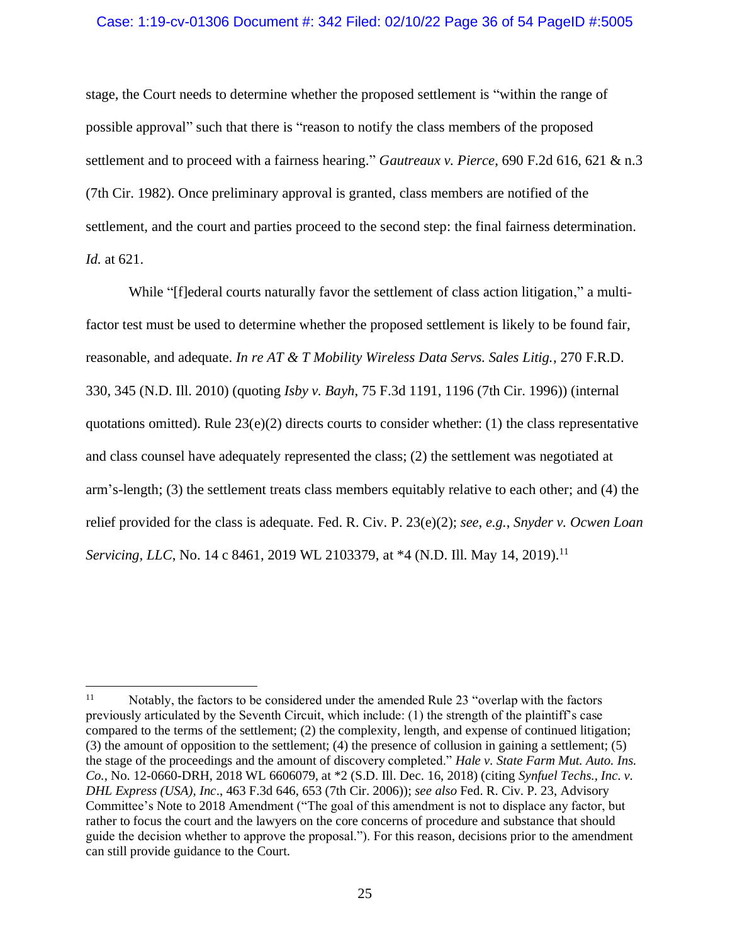## Case: 1:19-cv-01306 Document #: 342 Filed: 02/10/22 Page 36 of 54 PageID #:5005

stage, the Court needs to determine whether the proposed settlement is "within the range of possible approval" such that there is "reason to notify the class members of the proposed settlement and to proceed with a fairness hearing." *Gautreaux v. Pierce*, 690 F.2d 616, 621 & n.3 (7th Cir. 1982). Once preliminary approval is granted, class members are notified of the settlement, and the court and parties proceed to the second step: the final fairness determination. *Id.* at 621.

While "[f]ederal courts naturally favor the settlement of class action litigation," a multifactor test must be used to determine whether the proposed settlement is likely to be found fair, reasonable, and adequate. *In re AT & T Mobility Wireless Data Servs. Sales Litig.*, 270 F.R.D. 330, 345 (N.D. Ill. 2010) (quoting *Isby v. Bayh*, 75 F.3d 1191, 1196 (7th Cir. 1996)) (internal quotations omitted). Rule  $23(e)(2)$  directs courts to consider whether: (1) the class representative and class counsel have adequately represented the class; (2) the settlement was negotiated at arm's-length; (3) the settlement treats class members equitably relative to each other; and (4) the relief provided for the class is adequate. Fed. R. Civ. P. 23(e)(2); *see*, *e.g.*, *Snyder v. Ocwen Loan Servicing, LLC*, No. 14 c 8461, 2019 WL 2103379, at \*4 (N.D. Ill. May 14, 2019). 11

<sup>&</sup>lt;sup>11</sup> Notably, the factors to be considered under the amended Rule 23 "overlap with the factors" previously articulated by the Seventh Circuit, which include: (1) the strength of the plaintiff's case compared to the terms of the settlement; (2) the complexity, length, and expense of continued litigation; (3) the amount of opposition to the settlement; (4) the presence of collusion in gaining a settlement; (5) the stage of the proceedings and the amount of discovery completed." *Hale v. State Farm Mut. Auto. Ins. Co.*, No. 12-0660-DRH, 2018 WL 6606079, at \*2 (S.D. Ill. Dec. 16, 2018) (citing *Synfuel Techs., Inc. v. DHL Express (USA), Inc*., 463 F.3d 646, 653 (7th Cir. 2006)); *see also* Fed. R. Civ. P. 23, Advisory Committee's Note to 2018 Amendment ("The goal of this amendment is not to displace any factor, but rather to focus the court and the lawyers on the core concerns of procedure and substance that should guide the decision whether to approve the proposal."). For this reason, decisions prior to the amendment can still provide guidance to the Court.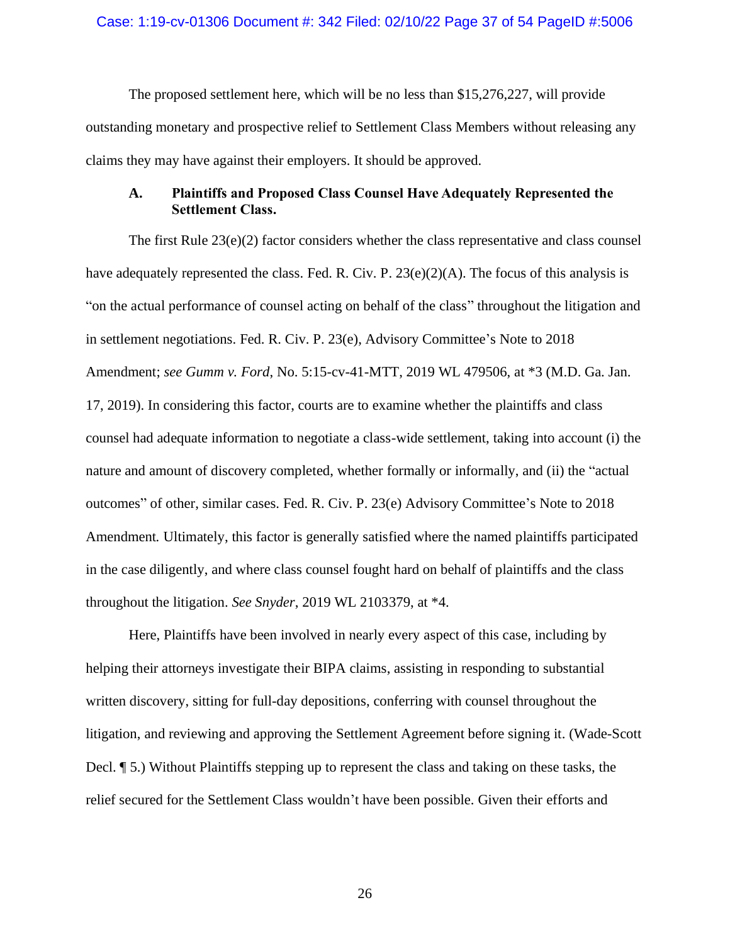The proposed settlement here, which will be no less than \$15,276,227, will provide outstanding monetary and prospective relief to Settlement Class Members without releasing any claims they may have against their employers. It should be approved.

## **A. Plaintiffs and Proposed Class Counsel Have Adequately Represented the Settlement Class.**

The first Rule 23(e)(2) factor considers whether the class representative and class counsel have adequately represented the class. Fed. R. Civ. P.  $23(e)(2)(A)$ . The focus of this analysis is "on the actual performance of counsel acting on behalf of the class" throughout the litigation and in settlement negotiations. Fed. R. Civ. P. 23(e), Advisory Committee's Note to 2018 Amendment; *see Gumm v. Ford*, No. 5:15-cv-41-MTT, 2019 WL 479506, at \*3 (M.D. Ga. Jan. 17, 2019). In considering this factor, courts are to examine whether the plaintiffs and class counsel had adequate information to negotiate a class-wide settlement, taking into account (i) the nature and amount of discovery completed, whether formally or informally, and (ii) the "actual outcomes" of other, similar cases. Fed. R. Civ. P. 23(e) Advisory Committee's Note to 2018 Amendment*.* Ultimately, this factor is generally satisfied where the named plaintiffs participated in the case diligently, and where class counsel fought hard on behalf of plaintiffs and the class throughout the litigation. *See Snyder*, 2019 WL 2103379, at \*4.

Here, Plaintiffs have been involved in nearly every aspect of this case, including by helping their attorneys investigate their BIPA claims, assisting in responding to substantial written discovery, sitting for full-day depositions, conferring with counsel throughout the litigation, and reviewing and approving the Settlement Agreement before signing it. (Wade-Scott Decl. ¶ 5.) Without Plaintiffs stepping up to represent the class and taking on these tasks, the relief secured for the Settlement Class wouldn't have been possible. Given their efforts and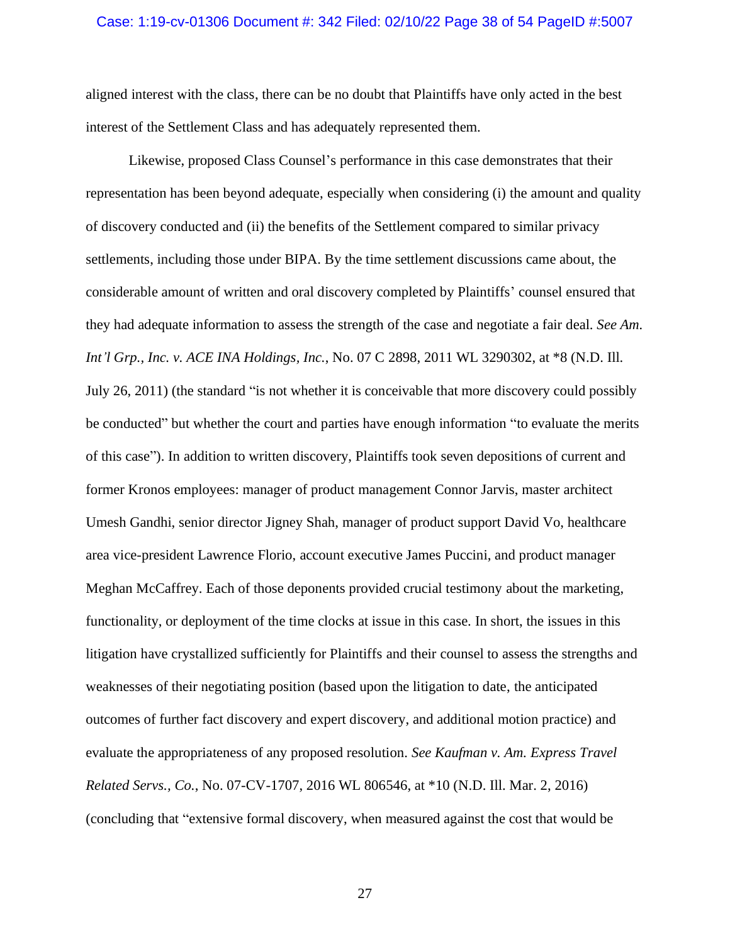### Case: 1:19-cv-01306 Document #: 342 Filed: 02/10/22 Page 38 of 54 PageID #:5007

aligned interest with the class, there can be no doubt that Plaintiffs have only acted in the best interest of the Settlement Class and has adequately represented them.

Likewise, proposed Class Counsel's performance in this case demonstrates that their representation has been beyond adequate, especially when considering (i) the amount and quality of discovery conducted and (ii) the benefits of the Settlement compared to similar privacy settlements, including those under BIPA. By the time settlement discussions came about, the considerable amount of written and oral discovery completed by Plaintiffs' counsel ensured that they had adequate information to assess the strength of the case and negotiate a fair deal. *See Am. Int'l Grp., Inc. v. ACE INA Holdings, Inc.*, No. 07 C 2898, 2011 WL 3290302, at \*8 (N.D. Ill. July 26, 2011) (the standard "is not whether it is conceivable that more discovery could possibly be conducted" but whether the court and parties have enough information "to evaluate the merits of this case"). In addition to written discovery, Plaintiffs took seven depositions of current and former Kronos employees: manager of product management Connor Jarvis, master architect Umesh Gandhi, senior director Jigney Shah, manager of product support David Vo, healthcare area vice-president Lawrence Florio, account executive James Puccini, and product manager Meghan McCaffrey. Each of those deponents provided crucial testimony about the marketing, functionality, or deployment of the time clocks at issue in this case. In short, the issues in this litigation have crystallized sufficiently for Plaintiffs and their counsel to assess the strengths and weaknesses of their negotiating position (based upon the litigation to date, the anticipated outcomes of further fact discovery and expert discovery, and additional motion practice) and evaluate the appropriateness of any proposed resolution. *See Kaufman v. Am. Express Travel Related Servs., Co.*, No. 07-CV-1707, 2016 WL 806546, at \*10 (N.D. Ill. Mar. 2, 2016) (concluding that "extensive formal discovery, when measured against the cost that would be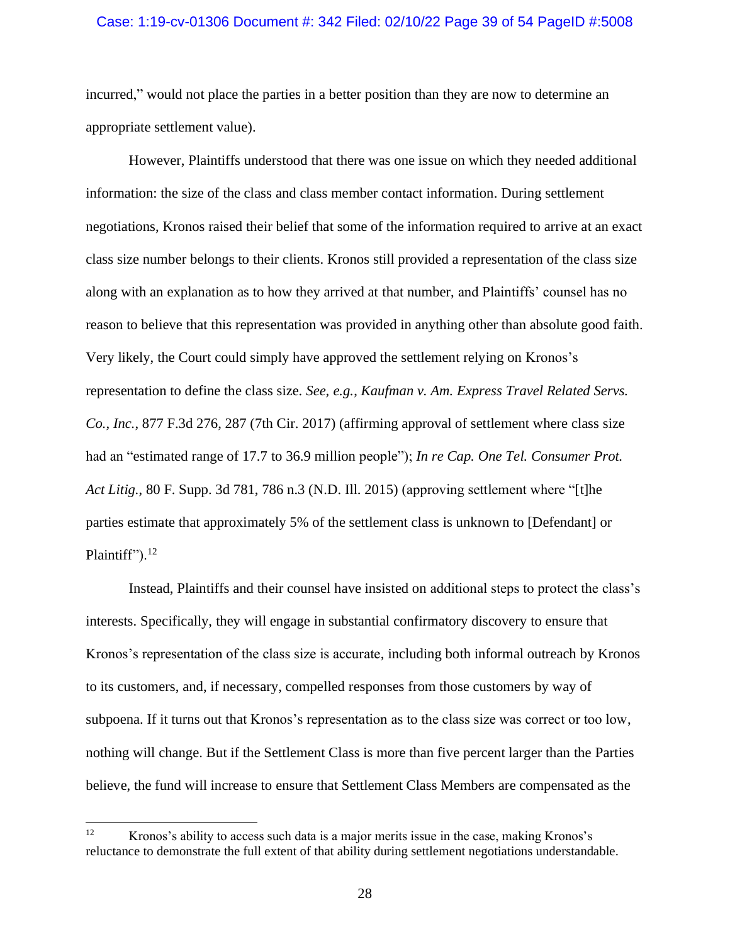## Case: 1:19-cv-01306 Document #: 342 Filed: 02/10/22 Page 39 of 54 PageID #:5008

incurred," would not place the parties in a better position than they are now to determine an appropriate settlement value).

However, Plaintiffs understood that there was one issue on which they needed additional information: the size of the class and class member contact information. During settlement negotiations, Kronos raised their belief that some of the information required to arrive at an exact class size number belongs to their clients. Kronos still provided a representation of the class size along with an explanation as to how they arrived at that number, and Plaintiffs' counsel has no reason to believe that this representation was provided in anything other than absolute good faith. Very likely, the Court could simply have approved the settlement relying on Kronos's representation to define the class size. *See, e.g.*, *Kaufman v. Am. Express Travel Related Servs. Co., Inc.*, 877 F.3d 276, 287 (7th Cir. 2017) (affirming approval of settlement where class size had an "estimated range of 17.7 to 36.9 million people"); *In re Cap. One Tel. Consumer Prot. Act Litig.*, 80 F. Supp. 3d 781, 786 n.3 (N.D. Ill. 2015) (approving settlement where "[t]he parties estimate that approximately 5% of the settlement class is unknown to [Defendant] or Plaintiff").<sup>12</sup>

Instead, Plaintiffs and their counsel have insisted on additional steps to protect the class's interests. Specifically, they will engage in substantial confirmatory discovery to ensure that Kronos's representation of the class size is accurate, including both informal outreach by Kronos to its customers, and, if necessary, compelled responses from those customers by way of subpoena. If it turns out that Kronos's representation as to the class size was correct or too low, nothing will change. But if the Settlement Class is more than five percent larger than the Parties believe, the fund will increase to ensure that Settlement Class Members are compensated as the

<sup>&</sup>lt;sup>12</sup> Kronos's ability to access such data is a major merits issue in the case, making Kronos's reluctance to demonstrate the full extent of that ability during settlement negotiations understandable.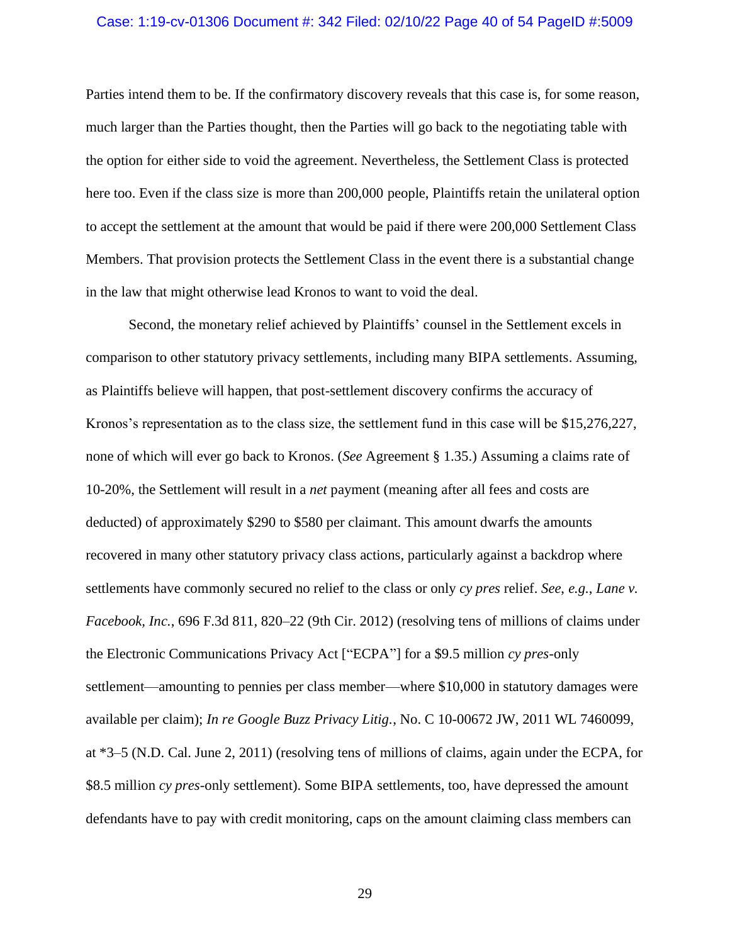## Case: 1:19-cv-01306 Document #: 342 Filed: 02/10/22 Page 40 of 54 PageID #:5009

Parties intend them to be. If the confirmatory discovery reveals that this case is, for some reason, much larger than the Parties thought, then the Parties will go back to the negotiating table with the option for either side to void the agreement. Nevertheless, the Settlement Class is protected here too. Even if the class size is more than 200,000 people, Plaintiffs retain the unilateral option to accept the settlement at the amount that would be paid if there were 200,000 Settlement Class Members. That provision protects the Settlement Class in the event there is a substantial change in the law that might otherwise lead Kronos to want to void the deal.

Second, the monetary relief achieved by Plaintiffs' counsel in the Settlement excels in comparison to other statutory privacy settlements, including many BIPA settlements. Assuming, as Plaintiffs believe will happen, that post-settlement discovery confirms the accuracy of Kronos's representation as to the class size, the settlement fund in this case will be \$15,276,227, none of which will ever go back to Kronos. (*See* Agreement § 1.35.) Assuming a claims rate of 10-20%, the Settlement will result in a *net* payment (meaning after all fees and costs are deducted) of approximately \$290 to \$580 per claimant. This amount dwarfs the amounts recovered in many other statutory privacy class actions, particularly against a backdrop where settlements have commonly secured no relief to the class or only *cy pres* relief. *See*, *e.g.*, *Lane v. Facebook, Inc.*, 696 F.3d 811, 820–22 (9th Cir. 2012) (resolving tens of millions of claims under the Electronic Communications Privacy Act ["ECPA"] for a \$9.5 million *cy pres-*only settlement—amounting to pennies per class member—where \$10,000 in statutory damages were available per claim); *In re Google Buzz Privacy Litig.*, No. C 10-00672 JW, 2011 WL 7460099, at \*3–5 (N.D. Cal. June 2, 2011) (resolving tens of millions of claims, again under the ECPA, for \$8.5 million *cy pres*-only settlement). Some BIPA settlements, too, have depressed the amount defendants have to pay with credit monitoring, caps on the amount claiming class members can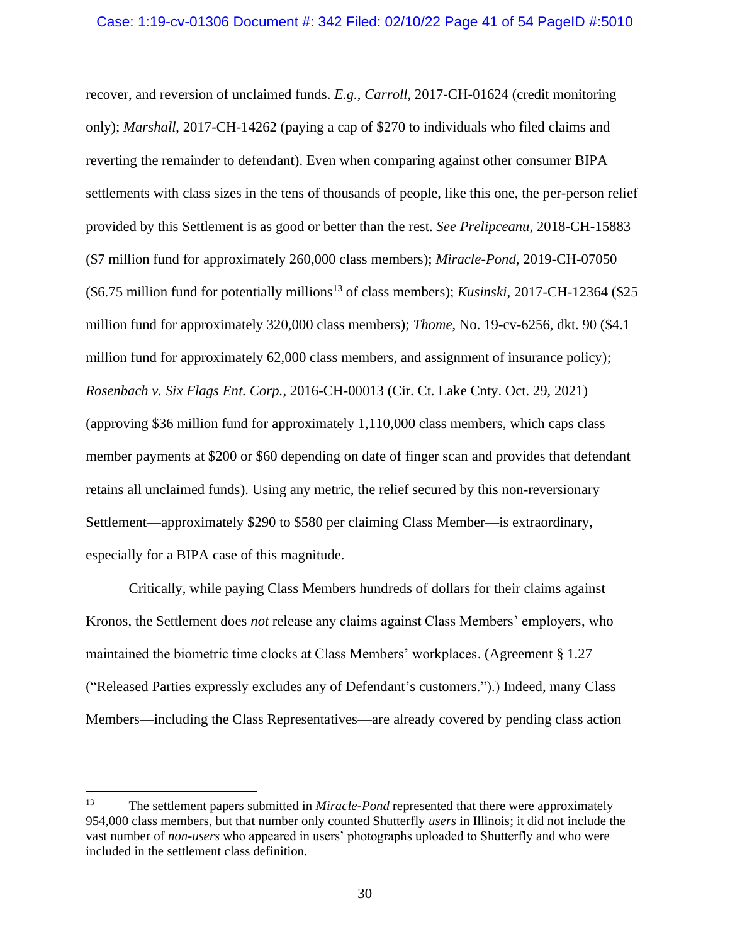recover, and reversion of unclaimed funds. *E.g.*, *Carroll*, 2017-CH-01624 (credit monitoring only); *Marshall*, 2017-CH-14262 (paying a cap of \$270 to individuals who filed claims and reverting the remainder to defendant). Even when comparing against other consumer BIPA settlements with class sizes in the tens of thousands of people, like this one, the per-person relief provided by this Settlement is as good or better than the rest. *See Prelipceanu*, 2018-CH-15883 (\$7 million fund for approximately 260,000 class members); *Miracle-Pond*, 2019-CH-07050 (\$6.75 million fund for potentially millions<sup>13</sup> of class members); *Kusinski*, 2017-CH-12364 (\$25 million fund for approximately 320,000 class members); *Thome*, No. 19-cv-6256, dkt. 90 (\$4.1 million fund for approximately 62,000 class members, and assignment of insurance policy); *Rosenbach v. Six Flags Ent. Corp.*, 2016-CH-00013 (Cir. Ct. Lake Cnty. Oct. 29, 2021) (approving \$36 million fund for approximately 1,110,000 class members, which caps class member payments at \$200 or \$60 depending on date of finger scan and provides that defendant retains all unclaimed funds). Using any metric, the relief secured by this non-reversionary Settlement—approximately \$290 to \$580 per claiming Class Member—is extraordinary, especially for a BIPA case of this magnitude.

Critically, while paying Class Members hundreds of dollars for their claims against Kronos, the Settlement does *not* release any claims against Class Members' employers, who maintained the biometric time clocks at Class Members' workplaces. (Agreement § 1.27 ("Released Parties expressly excludes any of Defendant's customers.").) Indeed, many Class Members—including the Class Representatives—are already covered by pending class action

<sup>&</sup>lt;sup>13</sup> The settlement papers submitted in *Miracle-Pond* represented that there were approximately 954,000 class members, but that number only counted Shutterfly *users* in Illinois; it did not include the vast number of *non-users* who appeared in users' photographs uploaded to Shutterfly and who were included in the settlement class definition.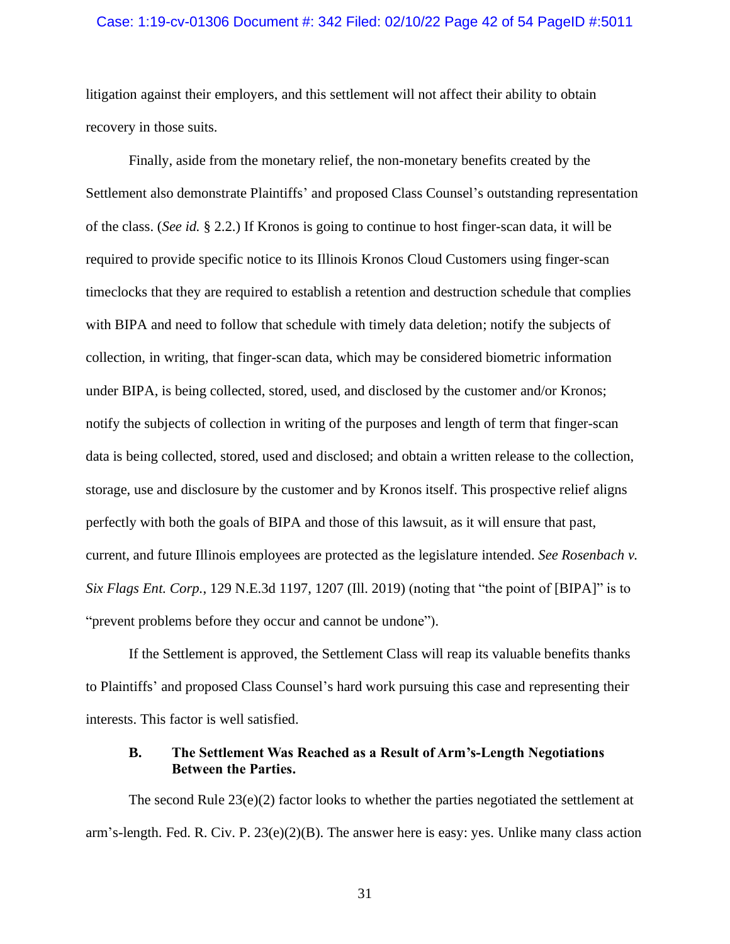## Case: 1:19-cv-01306 Document #: 342 Filed: 02/10/22 Page 42 of 54 PageID #:5011

litigation against their employers, and this settlement will not affect their ability to obtain recovery in those suits.

Finally, aside from the monetary relief, the non-monetary benefits created by the Settlement also demonstrate Plaintiffs' and proposed Class Counsel's outstanding representation of the class. (*See id.* § 2.2.) If Kronos is going to continue to host finger-scan data, it will be required to provide specific notice to its Illinois Kronos Cloud Customers using finger-scan timeclocks that they are required to establish a retention and destruction schedule that complies with BIPA and need to follow that schedule with timely data deletion; notify the subjects of collection, in writing, that finger-scan data, which may be considered biometric information under BIPA, is being collected, stored, used, and disclosed by the customer and/or Kronos; notify the subjects of collection in writing of the purposes and length of term that finger-scan data is being collected, stored, used and disclosed; and obtain a written release to the collection, storage, use and disclosure by the customer and by Kronos itself. This prospective relief aligns perfectly with both the goals of BIPA and those of this lawsuit, as it will ensure that past, current, and future Illinois employees are protected as the legislature intended. *See Rosenbach v. Six Flags Ent. Corp.*, 129 N.E.3d 1197, 1207 (Ill. 2019) (noting that "the point of [BIPA]" is to "prevent problems before they occur and cannot be undone").

If the Settlement is approved, the Settlement Class will reap its valuable benefits thanks to Plaintiffs' and proposed Class Counsel's hard work pursuing this case and representing their interests. This factor is well satisfied.

## **B. The Settlement Was Reached as a Result of Arm's-Length Negotiations Between the Parties.**

The second Rule 23(e)(2) factor looks to whether the parties negotiated the settlement at arm's-length. Fed. R. Civ. P. 23(e)(2)(B). The answer here is easy: yes. Unlike many class action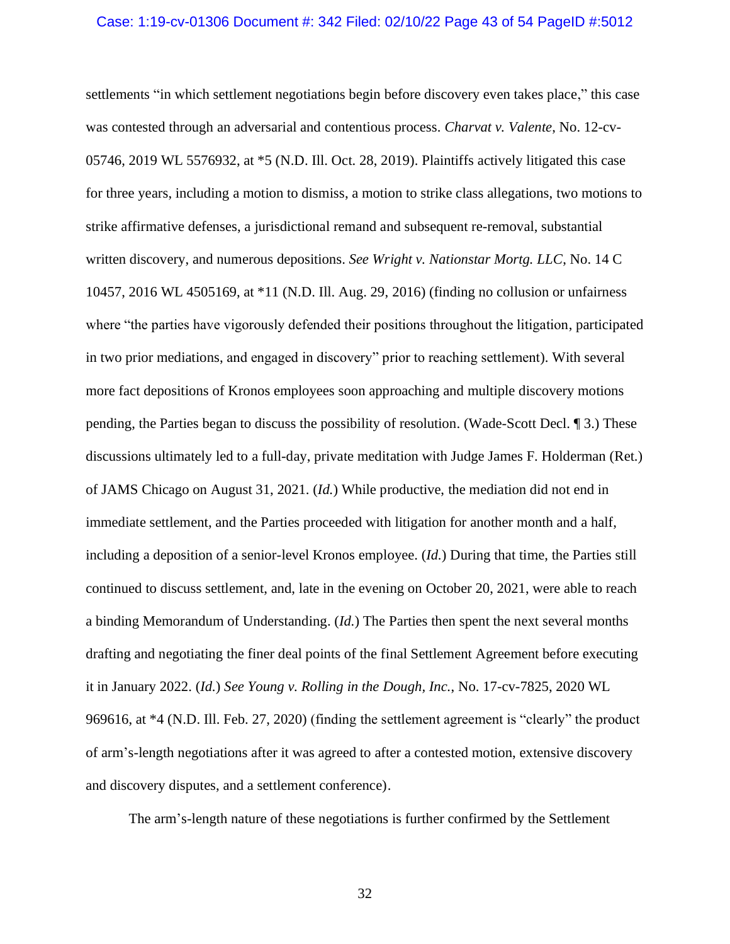#### Case: 1:19-cv-01306 Document #: 342 Filed: 02/10/22 Page 43 of 54 PageID #:5012

settlements "in which settlement negotiations begin before discovery even takes place," this case was contested through an adversarial and contentious process. *Charvat v. Valente*, No. 12-cv-05746, 2019 WL 5576932, at \*5 (N.D. Ill. Oct. 28, 2019). Plaintiffs actively litigated this case for three years, including a motion to dismiss, a motion to strike class allegations, two motions to strike affirmative defenses, a jurisdictional remand and subsequent re-removal, substantial written discovery, and numerous depositions. *See Wright v. Nationstar Mortg. LLC*, No. 14 C 10457, 2016 WL 4505169, at \*11 (N.D. Ill. Aug. 29, 2016) (finding no collusion or unfairness where "the parties have vigorously defended their positions throughout the litigation, participated in two prior mediations, and engaged in discovery" prior to reaching settlement). With several more fact depositions of Kronos employees soon approaching and multiple discovery motions pending, the Parties began to discuss the possibility of resolution. (Wade-Scott Decl. ¶ 3.) These discussions ultimately led to a full-day, private meditation with Judge James F. Holderman (Ret.) of JAMS Chicago on August 31, 2021. (*Id.*) While productive, the mediation did not end in immediate settlement, and the Parties proceeded with litigation for another month and a half, including a deposition of a senior-level Kronos employee. (*Id.*) During that time, the Parties still continued to discuss settlement, and, late in the evening on October 20, 2021, were able to reach a binding Memorandum of Understanding. (*Id.*) The Parties then spent the next several months drafting and negotiating the finer deal points of the final Settlement Agreement before executing it in January 2022. (*Id.*) *See Young v. Rolling in the Dough, Inc.*, No. 17-cv-7825, 2020 WL 969616, at \*4 (N.D. Ill. Feb. 27, 2020) (finding the settlement agreement is "clearly" the product of arm's-length negotiations after it was agreed to after a contested motion, extensive discovery and discovery disputes, and a settlement conference).

The arm's-length nature of these negotiations is further confirmed by the Settlement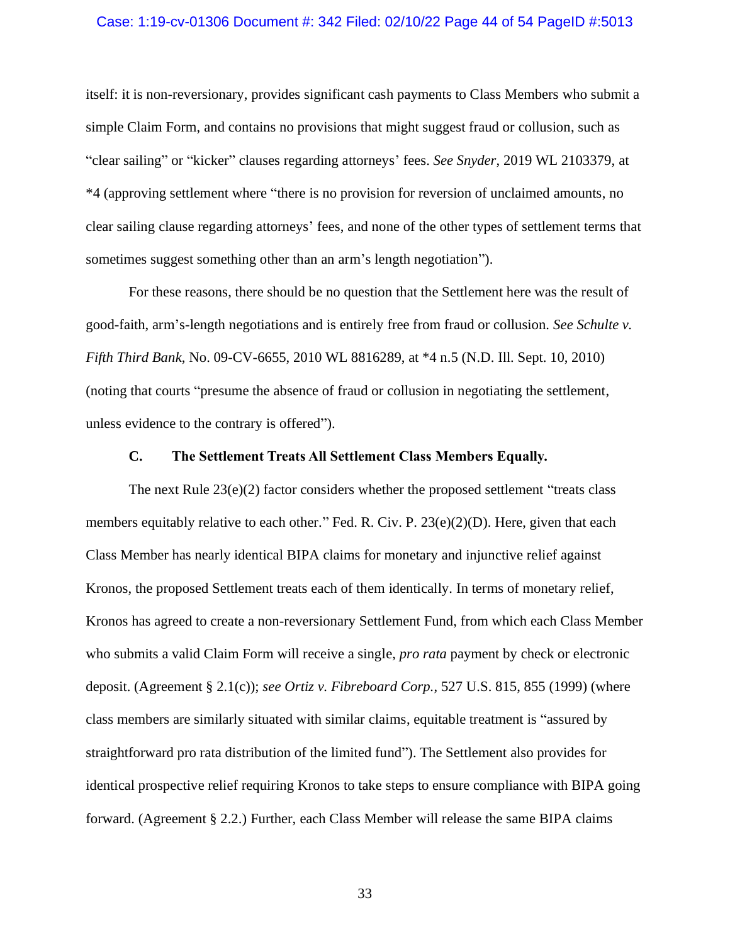#### Case: 1:19-cv-01306 Document #: 342 Filed: 02/10/22 Page 44 of 54 PageID #:5013

itself: it is non-reversionary, provides significant cash payments to Class Members who submit a simple Claim Form, and contains no provisions that might suggest fraud or collusion, such as "clear sailing" or "kicker" clauses regarding attorneys' fees. *See Snyder*, 2019 WL 2103379, at \*4 (approving settlement where "there is no provision for reversion of unclaimed amounts, no clear sailing clause regarding attorneys' fees, and none of the other types of settlement terms that sometimes suggest something other than an arm's length negotiation").

For these reasons, there should be no question that the Settlement here was the result of good-faith, arm's-length negotiations and is entirely free from fraud or collusion. *See Schulte v. Fifth Third Bank*, No. 09-CV-6655, 2010 WL 8816289, at \*4 n.5 (N.D. Ill. Sept. 10, 2010) (noting that courts "presume the absence of fraud or collusion in negotiating the settlement, unless evidence to the contrary is offered").

## **C. The Settlement Treats All Settlement Class Members Equally.**

The next Rule  $23(e)(2)$  factor considers whether the proposed settlement "treats class" members equitably relative to each other." Fed. R. Civ. P. 23(e)(2)(D). Here, given that each Class Member has nearly identical BIPA claims for monetary and injunctive relief against Kronos, the proposed Settlement treats each of them identically. In terms of monetary relief, Kronos has agreed to create a non-reversionary Settlement Fund, from which each Class Member who submits a valid Claim Form will receive a single, *pro rata* payment by check or electronic deposit. (Agreement § 2.1(c)); *see Ortiz v. Fibreboard Corp.*, 527 U.S. 815, 855 (1999) (where class members are similarly situated with similar claims, equitable treatment is "assured by straightforward pro rata distribution of the limited fund"). The Settlement also provides for identical prospective relief requiring Kronos to take steps to ensure compliance with BIPA going forward. (Agreement § 2.2.) Further, each Class Member will release the same BIPA claims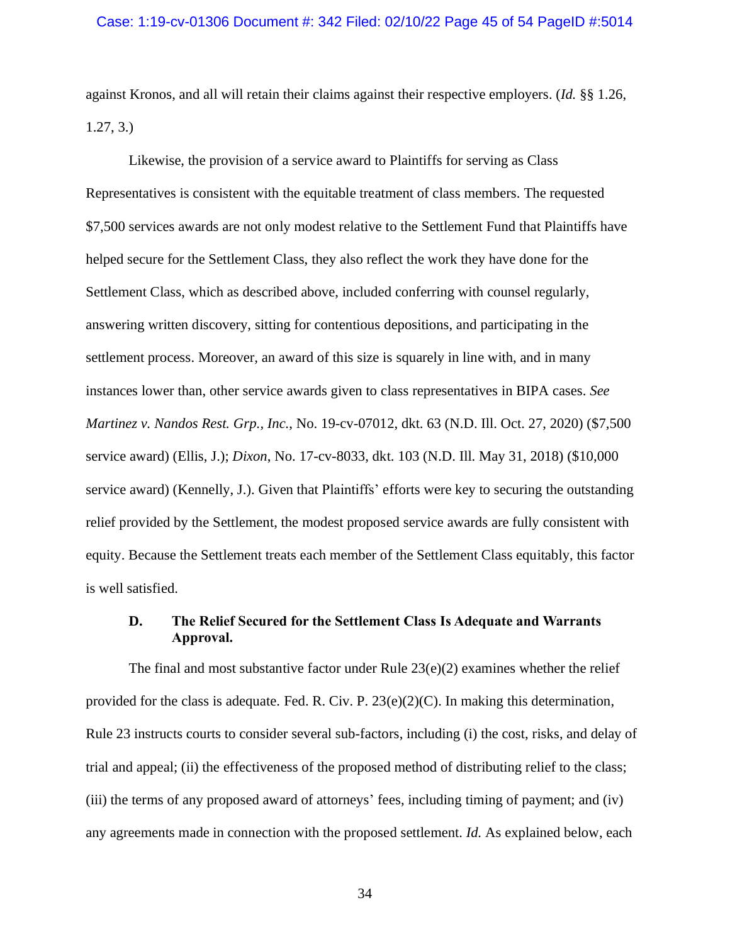against Kronos, and all will retain their claims against their respective employers. (*Id.* §§ 1.26, 1.27, 3.)

Likewise, the provision of a service award to Plaintiffs for serving as Class Representatives is consistent with the equitable treatment of class members. The requested \$7,500 services awards are not only modest relative to the Settlement Fund that Plaintiffs have helped secure for the Settlement Class, they also reflect the work they have done for the Settlement Class, which as described above, included conferring with counsel regularly, answering written discovery, sitting for contentious depositions, and participating in the settlement process. Moreover, an award of this size is squarely in line with, and in many instances lower than, other service awards given to class representatives in BIPA cases. *See Martinez v. Nandos Rest. Grp., Inc.*, No. 19-cv-07012, dkt. 63 (N.D. Ill. Oct. 27, 2020) (\$7,500 service award) (Ellis, J.); *Dixon*, No. 17-cv-8033, dkt. 103 (N.D. Ill. May 31, 2018) (\$10,000 service award) (Kennelly, J.). Given that Plaintiffs' efforts were key to securing the outstanding relief provided by the Settlement, the modest proposed service awards are fully consistent with equity. Because the Settlement treats each member of the Settlement Class equitably, this factor is well satisfied.

## **D. The Relief Secured for the Settlement Class Is Adequate and Warrants Approval.**

The final and most substantive factor under Rule 23(e)(2) examines whether the relief provided for the class is adequate. Fed. R. Civ. P. 23(e)(2)(C). In making this determination, Rule 23 instructs courts to consider several sub-factors, including (i) the cost, risks, and delay of trial and appeal; (ii) the effectiveness of the proposed method of distributing relief to the class; (iii) the terms of any proposed award of attorneys' fees, including timing of payment; and (iv) any agreements made in connection with the proposed settlement. *Id.* As explained below, each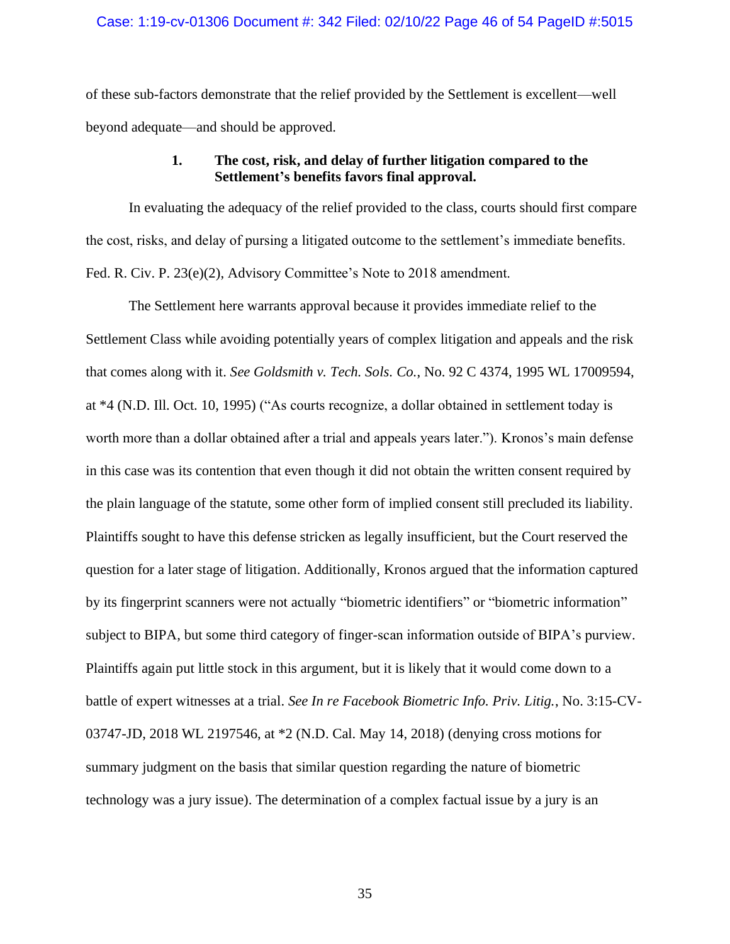of these sub-factors demonstrate that the relief provided by the Settlement is excellent—well beyond adequate—and should be approved.

## **1. The cost, risk, and delay of further litigation compared to the Settlement's benefits favors final approval.**

In evaluating the adequacy of the relief provided to the class, courts should first compare the cost, risks, and delay of pursing a litigated outcome to the settlement's immediate benefits. Fed. R. Civ. P. 23(e)(2), Advisory Committee's Note to 2018 amendment.

The Settlement here warrants approval because it provides immediate relief to the Settlement Class while avoiding potentially years of complex litigation and appeals and the risk that comes along with it. *See Goldsmith v. Tech. Sols. Co.*, No. 92 C 4374, 1995 WL 17009594, at \*4 (N.D. Ill. Oct. 10, 1995) ("As courts recognize, a dollar obtained in settlement today is worth more than a dollar obtained after a trial and appeals years later."). Kronos's main defense in this case was its contention that even though it did not obtain the written consent required by the plain language of the statute, some other form of implied consent still precluded its liability. Plaintiffs sought to have this defense stricken as legally insufficient, but the Court reserved the question for a later stage of litigation. Additionally, Kronos argued that the information captured by its fingerprint scanners were not actually "biometric identifiers" or "biometric information" subject to BIPA, but some third category of finger-scan information outside of BIPA's purview. Plaintiffs again put little stock in this argument, but it is likely that it would come down to a battle of expert witnesses at a trial. *See In re Facebook Biometric Info. Priv. Litig.*, No. 3:15-CV-03747-JD, 2018 WL 2197546, at \*2 (N.D. Cal. May 14, 2018) (denying cross motions for summary judgment on the basis that similar question regarding the nature of biometric technology was a jury issue). The determination of a complex factual issue by a jury is an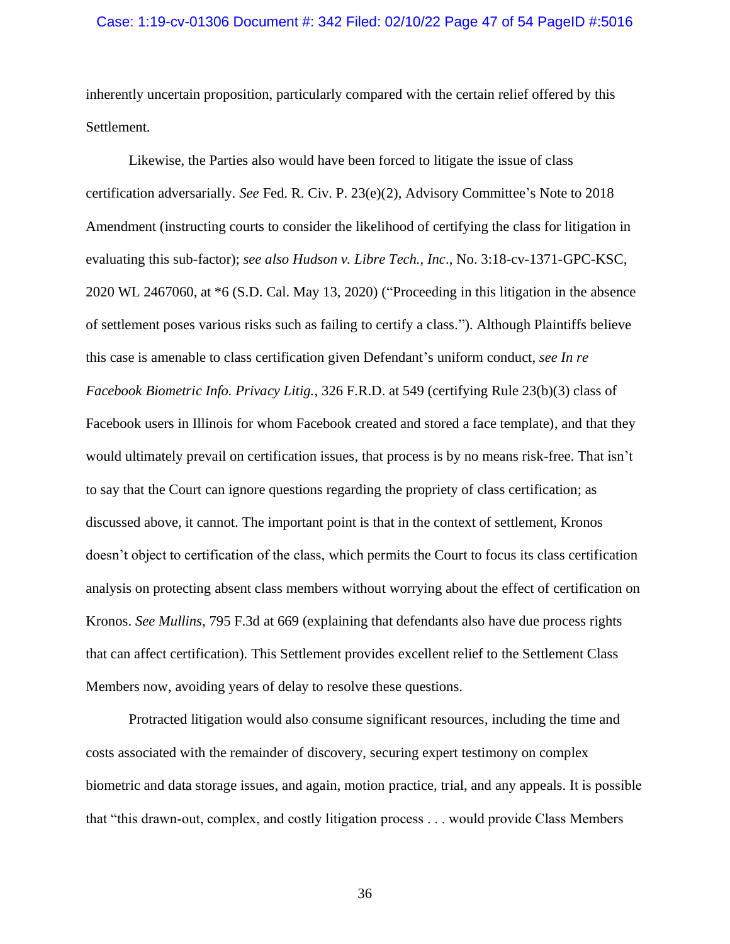## Case: 1:19-cv-01306 Document #: 342 Filed: 02/10/22 Page 47 of 54 PageID #:5016

inherently uncertain proposition, particularly compared with the certain relief offered by this Settlement.

Likewise, the Parties also would have been forced to litigate the issue of class certification adversarially. *See* Fed. R. Civ. P. 23(e)(2), Advisory Committee's Note to 2018 Amendment (instructing courts to consider the likelihood of certifying the class for litigation in evaluating this sub-factor); *see also Hudson v. Libre Tech., Inc*., No. 3:18-cv-1371-GPC-KSC, 2020 WL 2467060, at \*6 (S.D. Cal. May 13, 2020) ("Proceeding in this litigation in the absence of settlement poses various risks such as failing to certify a class."). Although Plaintiffs believe this case is amenable to class certification given Defendant's uniform conduct, *see In re Facebook Biometric Info. Privacy Litig.*, 326 F.R.D. at 549 (certifying Rule 23(b)(3) class of Facebook users in Illinois for whom Facebook created and stored a face template), and that they would ultimately prevail on certification issues, that process is by no means risk-free. That isn't to say that the Court can ignore questions regarding the propriety of class certification; as discussed above, it cannot. The important point is that in the context of settlement, Kronos doesn't object to certification of the class, which permits the Court to focus its class certification analysis on protecting absent class members without worrying about the effect of certification on Kronos. *See Mullins*, 795 F.3d at 669 (explaining that defendants also have due process rights that can affect certification). This Settlement provides excellent relief to the Settlement Class Members now, avoiding years of delay to resolve these questions.

Protracted litigation would also consume significant resources, including the time and costs associated with the remainder of discovery, securing expert testimony on complex biometric and data storage issues, and again, motion practice, trial, and any appeals. It is possible that "this drawn-out, complex, and costly litigation process . . . would provide Class Members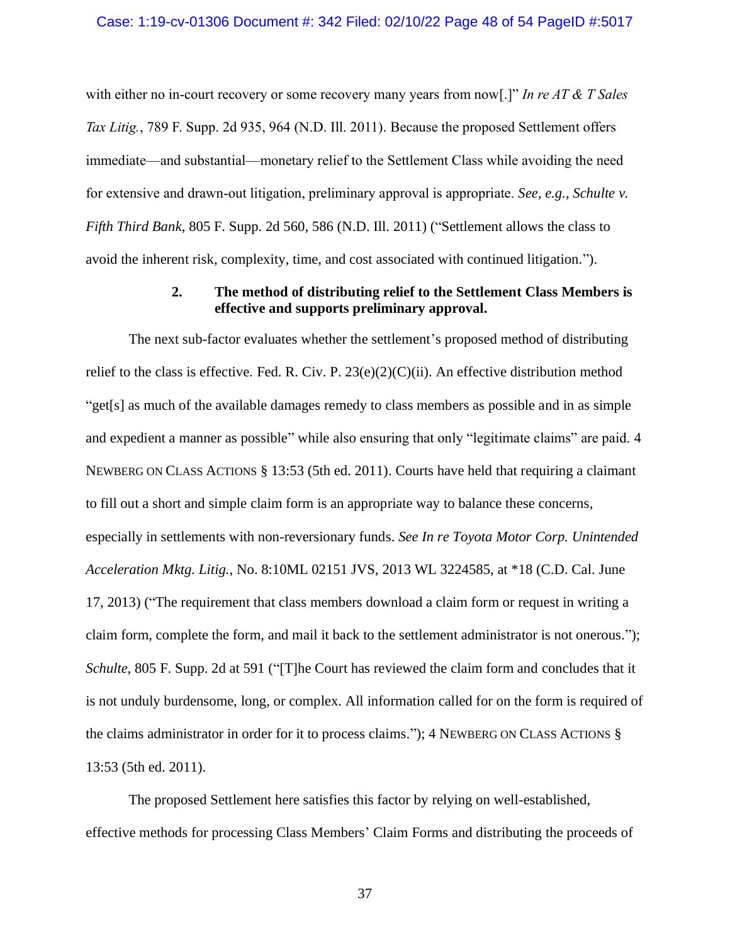#### Case: 1:19-cv-01306 Document #: 342 Filed: 02/10/22 Page 48 of 54 PageID #:5017

with either no in-court recovery or some recovery many years from now[.]" *In re AT & T Sales Tax Litig.*, 789 F. Supp. 2d 935, 964 (N.D. Ill. 2011). Because the proposed Settlement offers immediate—and substantial—monetary relief to the Settlement Class while avoiding the need for extensive and drawn-out litigation, preliminary approval is appropriate. *See*, *e.g.*, *Schulte v. Fifth Third Bank*, 805 F. Supp. 2d 560, 586 (N.D. Ill. 2011) ("Settlement allows the class to avoid the inherent risk, complexity, time, and cost associated with continued litigation.").

## **2. The method of distributing relief to the Settlement Class Members is effective and supports preliminary approval.**

The next sub-factor evaluates whether the settlement's proposed method of distributing relief to the class is effective. Fed. R. Civ. P.  $23(e)(2)(C)(ii)$ . An effective distribution method "get[s] as much of the available damages remedy to class members as possible and in as simple and expedient a manner as possible" while also ensuring that only "legitimate claims" are paid. 4 NEWBERG ON CLASS ACTIONS § 13:53 (5th ed. 2011). Courts have held that requiring a claimant to fill out a short and simple claim form is an appropriate way to balance these concerns, especially in settlements with non-reversionary funds. *See In re Toyota Motor Corp. Unintended Acceleration Mktg. Litig.*, No. 8:10ML 02151 JVS, 2013 WL 3224585, at \*18 (C.D. Cal. June 17, 2013) ("The requirement that class members download a claim form or request in writing a claim form, complete the form, and mail it back to the settlement administrator is not onerous."); *Schulte*, 805 F. Supp. 2d at 591 ("The Court has reviewed the claim form and concludes that it is not unduly burdensome, long, or complex. All information called for on the form is required of the claims administrator in order for it to process claims."); 4 NEWBERG ON CLASS ACTIONS § 13:53 (5th ed. 2011).

The proposed Settlement here satisfies this factor by relying on well-established, effective methods for processing Class Members' Claim Forms and distributing the proceeds of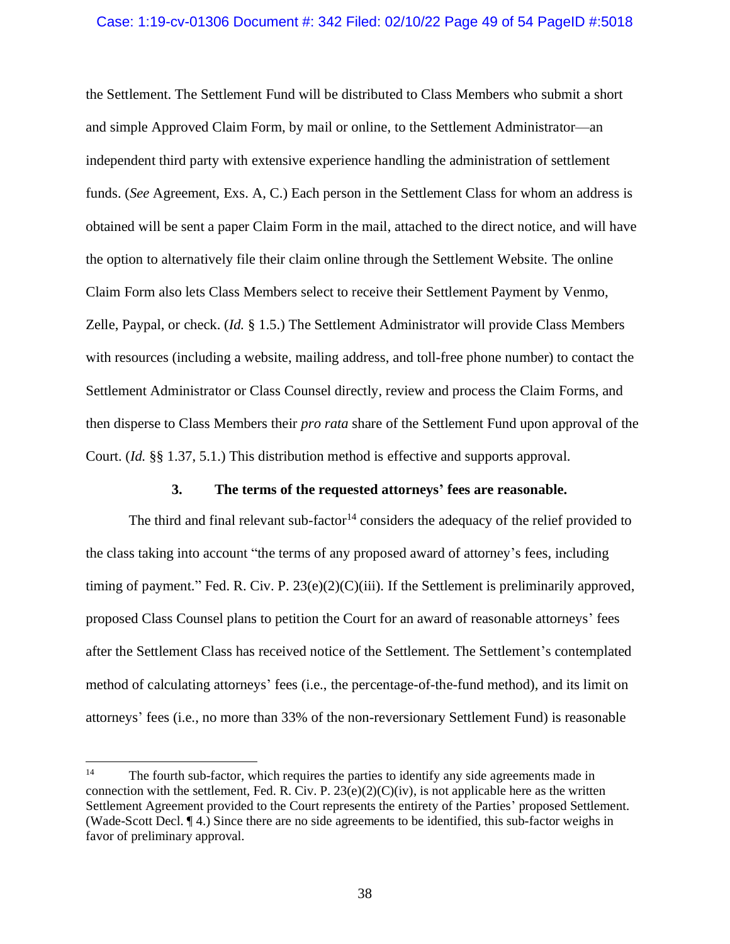## Case: 1:19-cv-01306 Document #: 342 Filed: 02/10/22 Page 49 of 54 PageID #:5018

the Settlement. The Settlement Fund will be distributed to Class Members who submit a short and simple Approved Claim Form, by mail or online, to the Settlement Administrator—an independent third party with extensive experience handling the administration of settlement funds. (*See* Agreement, Exs. A, C.) Each person in the Settlement Class for whom an address is obtained will be sent a paper Claim Form in the mail, attached to the direct notice, and will have the option to alternatively file their claim online through the Settlement Website. The online Claim Form also lets Class Members select to receive their Settlement Payment by Venmo, Zelle, Paypal, or check. (*Id.* § 1.5.) The Settlement Administrator will provide Class Members with resources (including a website, mailing address, and toll-free phone number) to contact the Settlement Administrator or Class Counsel directly, review and process the Claim Forms, and then disperse to Class Members their *pro rata* share of the Settlement Fund upon approval of the Court. (*Id.* §§ 1.37, 5.1.) This distribution method is effective and supports approval.

## **3. The terms of the requested attorneys' fees are reasonable.**

The third and final relevant sub-factor<sup>14</sup> considers the adequacy of the relief provided to the class taking into account "the terms of any proposed award of attorney's fees, including timing of payment." Fed. R. Civ. P. 23(e)(2)(C)(iii). If the Settlement is preliminarily approved, proposed Class Counsel plans to petition the Court for an award of reasonable attorneys' fees after the Settlement Class has received notice of the Settlement. The Settlement's contemplated method of calculating attorneys' fees (i.e., the percentage-of-the-fund method), and its limit on attorneys' fees (i.e., no more than 33% of the non-reversionary Settlement Fund) is reasonable

<sup>&</sup>lt;sup>14</sup> The fourth sub-factor, which requires the parties to identify any side agreements made in connection with the settlement, Fed. R. Civ. P.  $23(e)(2)(C)(iv)$ , is not applicable here as the written Settlement Agreement provided to the Court represents the entirety of the Parties' proposed Settlement. (Wade-Scott Decl. ¶ 4.) Since there are no side agreements to be identified, this sub-factor weighs in favor of preliminary approval.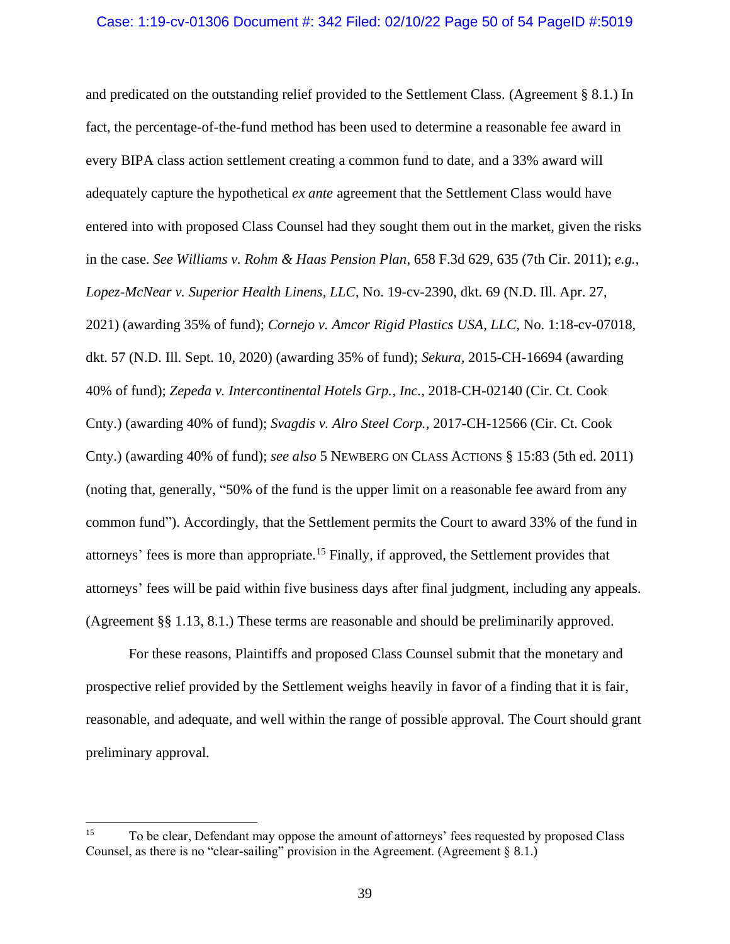and predicated on the outstanding relief provided to the Settlement Class. (Agreement § 8.1.) In fact, the percentage-of-the-fund method has been used to determine a reasonable fee award in every BIPA class action settlement creating a common fund to date, and a 33% award will adequately capture the hypothetical *ex ante* agreement that the Settlement Class would have entered into with proposed Class Counsel had they sought them out in the market, given the risks in the case. *See Williams v. Rohm & Haas Pension Plan*, 658 F.3d 629, 635 (7th Cir. 2011); *e.g.*, *Lopez-McNear v. Superior Health Linens, LLC*, No. 19-cv-2390, dkt. 69 (N.D. Ill. Apr. 27, 2021) (awarding 35% of fund); *Cornejo v. Amcor Rigid Plastics USA, LLC*, No. 1:18-cv-07018, dkt. 57 (N.D. Ill. Sept. 10, 2020) (awarding 35% of fund); *Sekura*, 2015-CH-16694 (awarding 40% of fund); *Zepeda v. Intercontinental Hotels Grp., Inc.*, 2018-CH-02140 (Cir. Ct. Cook Cnty.) (awarding 40% of fund); *Svagdis v. Alro Steel Corp.*, 2017-CH-12566 (Cir. Ct. Cook Cnty.) (awarding 40% of fund); *see also* 5 NEWBERG ON CLASS ACTIONS § 15:83 (5th ed. 2011) (noting that, generally, "50% of the fund is the upper limit on a reasonable fee award from any common fund"). Accordingly, that the Settlement permits the Court to award 33% of the fund in attorneys' fees is more than appropriate.<sup>15</sup> Finally, if approved, the Settlement provides that attorneys' fees will be paid within five business days after final judgment, including any appeals. (Agreement §§ 1.13, 8.1.) These terms are reasonable and should be preliminarily approved.

For these reasons, Plaintiffs and proposed Class Counsel submit that the monetary and prospective relief provided by the Settlement weighs heavily in favor of a finding that it is fair, reasonable, and adequate, and well within the range of possible approval. The Court should grant preliminary approval.

<sup>&</sup>lt;sup>15</sup> To be clear, Defendant may oppose the amount of attorneys' fees requested by proposed Class Counsel, as there is no "clear-sailing" provision in the Agreement. (Agreement § 8.1.)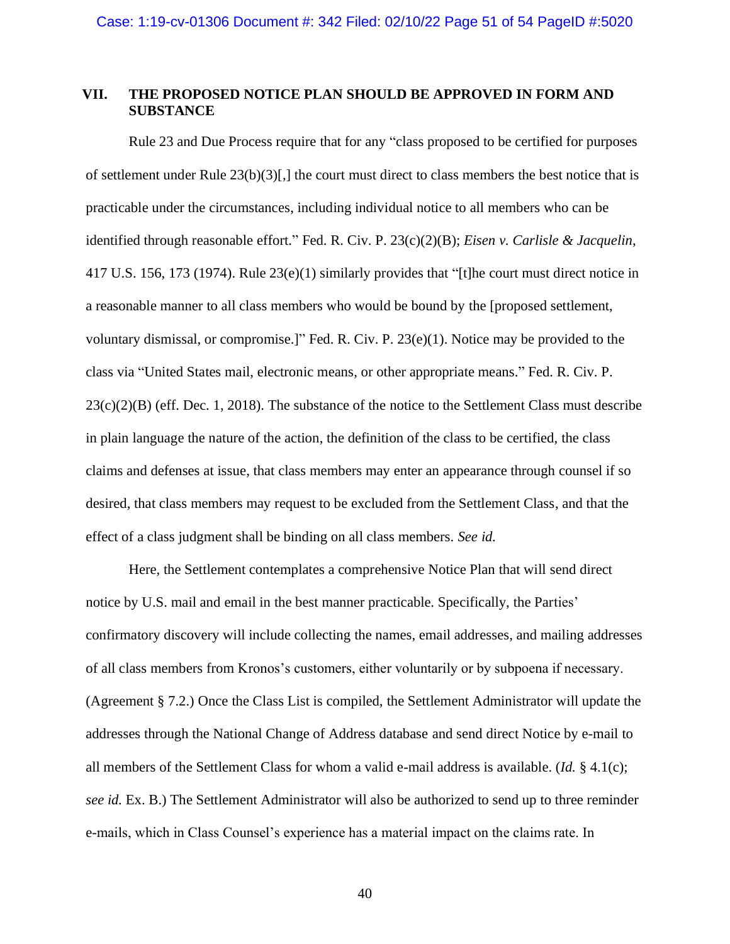## **VII. THE PROPOSED NOTICE PLAN SHOULD BE APPROVED IN FORM AND SUBSTANCE**

Rule 23 and Due Process require that for any "class proposed to be certified for purposes of settlement under Rule  $23(b)(3)$ [,] the court must direct to class members the best notice that is practicable under the circumstances, including individual notice to all members who can be identified through reasonable effort." Fed. R. Civ. P. 23(c)(2)(B); *Eisen v. Carlisle & Jacquelin*, 417 U.S. 156, 173 (1974). Rule 23(e)(1) similarly provides that "[t]he court must direct notice in a reasonable manner to all class members who would be bound by the [proposed settlement, voluntary dismissal, or compromise.]" Fed. R. Civ. P. 23(e)(1). Notice may be provided to the class via "United States mail, electronic means, or other appropriate means." Fed. R. Civ. P.  $23(c)(2)(B)$  (eff. Dec. 1, 2018). The substance of the notice to the Settlement Class must describe in plain language the nature of the action, the definition of the class to be certified, the class claims and defenses at issue, that class members may enter an appearance through counsel if so desired, that class members may request to be excluded from the Settlement Class, and that the effect of a class judgment shall be binding on all class members. *See id.*

Here, the Settlement contemplates a comprehensive Notice Plan that will send direct notice by U.S. mail and email in the best manner practicable. Specifically, the Parties' confirmatory discovery will include collecting the names, email addresses, and mailing addresses of all class members from Kronos's customers, either voluntarily or by subpoena if necessary. (Agreement § 7.2.) Once the Class List is compiled, the Settlement Administrator will update the addresses through the National Change of Address database and send direct Notice by e-mail to all members of the Settlement Class for whom a valid e-mail address is available. (*Id.* § 4.1(c); *see id.* Ex. B.) The Settlement Administrator will also be authorized to send up to three reminder e-mails, which in Class Counsel's experience has a material impact on the claims rate. In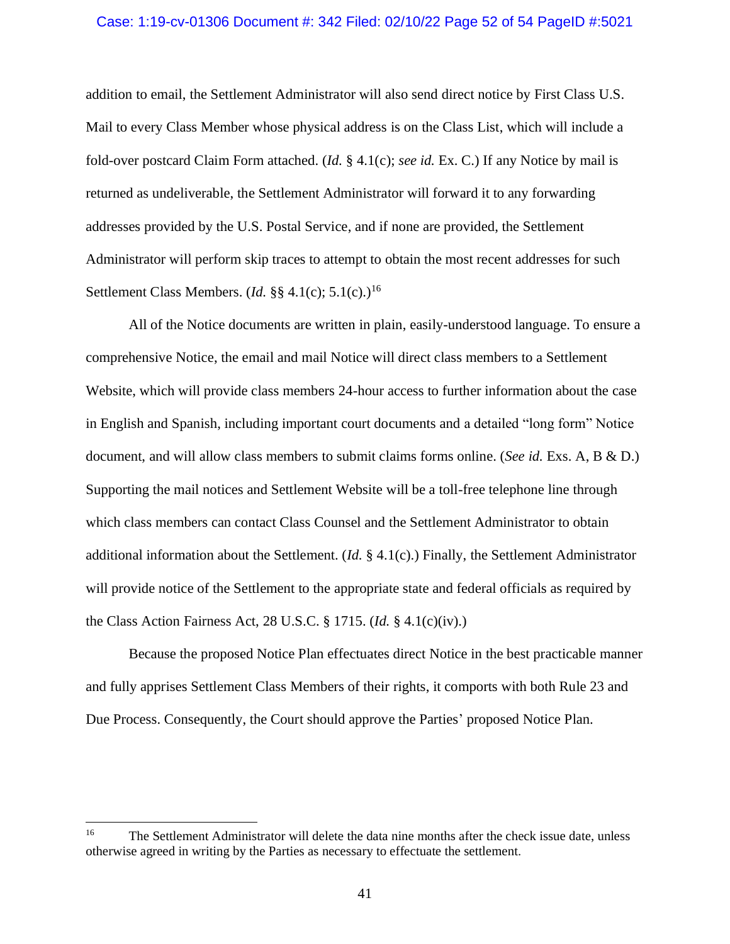## Case: 1:19-cv-01306 Document #: 342 Filed: 02/10/22 Page 52 of 54 PageID #:5021

addition to email, the Settlement Administrator will also send direct notice by First Class U.S. Mail to every Class Member whose physical address is on the Class List, which will include a fold-over postcard Claim Form attached. (*Id.* § 4.1(c); *see id.* Ex. C.) If any Notice by mail is returned as undeliverable, the Settlement Administrator will forward it to any forwarding addresses provided by the U.S. Postal Service, and if none are provided, the Settlement Administrator will perform skip traces to attempt to obtain the most recent addresses for such Settlement Class Members. (*Id.* §§ 4.1(c); 5.1(c).) 16

All of the Notice documents are written in plain, easily-understood language. To ensure a comprehensive Notice, the email and mail Notice will direct class members to a Settlement Website, which will provide class members 24-hour access to further information about the case in English and Spanish, including important court documents and a detailed "long form" Notice document, and will allow class members to submit claims forms online. (*See id.* Exs. A, B & D.) Supporting the mail notices and Settlement Website will be a toll-free telephone line through which class members can contact Class Counsel and the Settlement Administrator to obtain additional information about the Settlement. (*Id.* § 4.1(c).) Finally, the Settlement Administrator will provide notice of the Settlement to the appropriate state and federal officials as required by the Class Action Fairness Act, 28 U.S.C. § 1715. (*Id.* § 4.1(c)(iv).)

Because the proposed Notice Plan effectuates direct Notice in the best practicable manner and fully apprises Settlement Class Members of their rights, it comports with both Rule 23 and Due Process. Consequently, the Court should approve the Parties' proposed Notice Plan.

<sup>&</sup>lt;sup>16</sup> The Settlement Administrator will delete the data nine months after the check issue date, unless otherwise agreed in writing by the Parties as necessary to effectuate the settlement.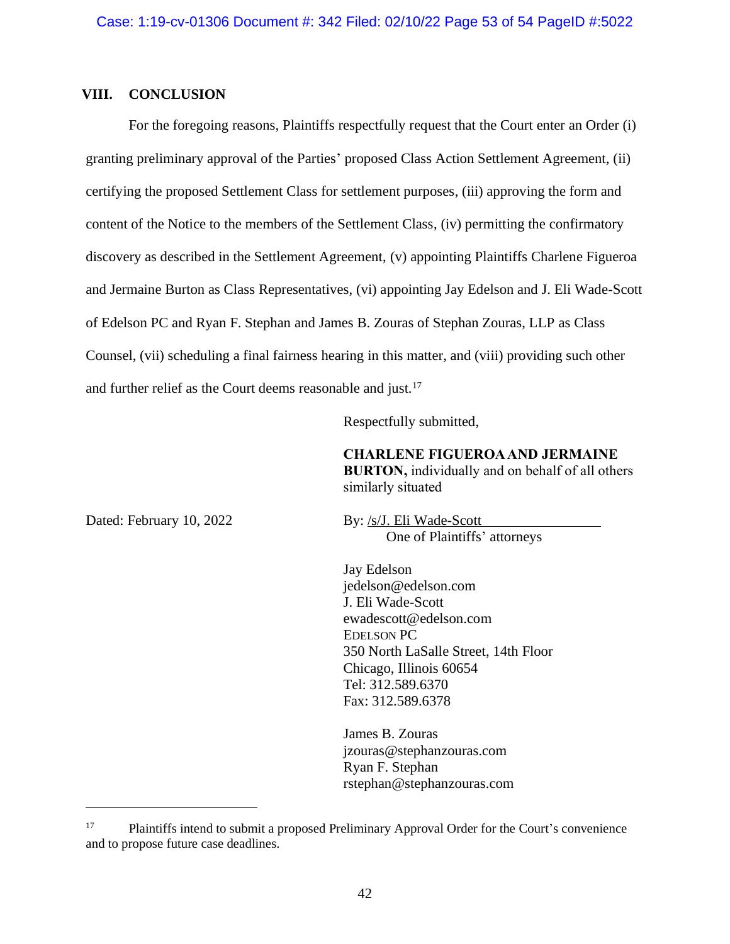## **VIII. CONCLUSION**

For the foregoing reasons, Plaintiffs respectfully request that the Court enter an Order (i) granting preliminary approval of the Parties' proposed Class Action Settlement Agreement, (ii) certifying the proposed Settlement Class for settlement purposes, (iii) approving the form and content of the Notice to the members of the Settlement Class, (iv) permitting the confirmatory discovery as described in the Settlement Agreement, (v) appointing Plaintiffs Charlene Figueroa and Jermaine Burton as Class Representatives, (vi) appointing Jay Edelson and J. Eli Wade-Scott of Edelson PC and Ryan F. Stephan and James B. Zouras of Stephan Zouras, LLP as Class Counsel, (vii) scheduling a final fairness hearing in this matter, and (viii) providing such other and further relief as the Court deems reasonable and just.<sup>17</sup>

Respectfully submitted,

**CHARLENE FIGUEROA AND JERMAINE BURTON,** individually and on behalf of all others similarly situated

Dated: February 10, 2022 By: /s/J. Eli Wade-Scott One of Plaintiffs' attorneys

> Jay Edelson jedelson@edelson.com J. Eli Wade-Scott ewadescott@edelson.com EDELSON PC 350 North LaSalle Street, 14th Floor Chicago, Illinois 60654 Tel: 312.589.6370 Fax: 312.589.6378

James B. Zouras jzouras@stephanzouras.com Ryan F. Stephan rstephan@stephanzouras.com

<sup>&</sup>lt;sup>17</sup> Plaintiffs intend to submit a proposed Preliminary Approval Order for the Court's convenience and to propose future case deadlines.